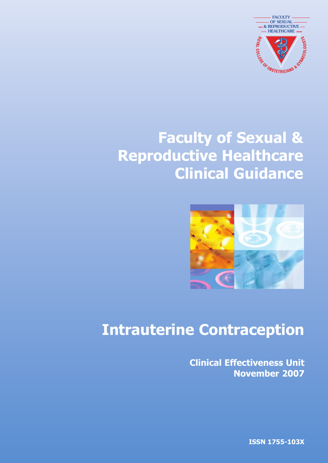

# **Faculty of Sexual & Reproductive Healthcare Clinical Guidance**



# **Intrauterine Contraception**

**Clinical Effectiveness Unit November 2007**

**ISSN 1755-103X**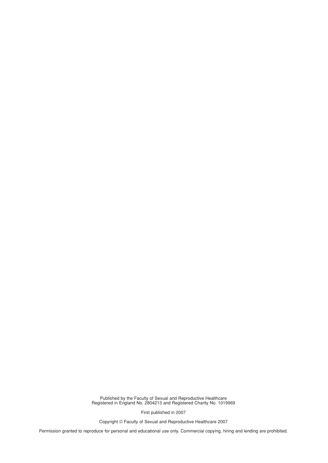Published by the Faculty of Sexual and Reproductive Healthcare Registered in England No. 2804213 and Registered Charity No. 1019969

First published in 2007

Copyright © Faculty of Sexual and Reproductive Healthcare 2007

Permission granted to reproduce for personal and educational use only. Commercial copying, hiring and lending are prohibited.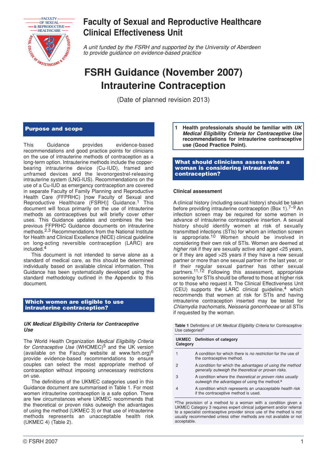

## **Faculty of Sexual and Reproductive Healthcare Clinical Effectiveness Unit**

*A unit funded by the FSRH and supported by the University of Aberdeen to provide guidance on evidence-based practice*

## **FSRH Guidance (November 2007) Intrauterine Contraception**

(Date of planned revision 2013)

#### **Purpose and scope**

This Guidance provides evidence-based recommendations and good practice points for clinicians on the use of intrauterine methods of contraception as a long-term option. Intrauterine methods include the copperbearing intrauterine device (Cu-IUD), framed and unframed devices and the levonorgestrel-releasing intrauterine system (LNG-IUS). Recommendations on the use of a Cu-IUD as emergency contraception are covered in separate Faculty of Family Planning and Reproductive Health Care (FFPRHC) [now Faculty of Sexual and Reproductive Healthcare (FSRH)] Guidance.1 This document will focus primarily on the use of intrauterine methods as contraceptives but will briefly cover other uses. This Guidance updates and combines the two previous FFPRHC Guidance documents on intrauterine methods.<sup>2,3</sup> Recommendations from the National Institute for Health and Clinical Excellence (NICE) clinical guideline on long-acting reversible contraception (LARC) are included.4

This document is not intended to serve alone as a standard of medical care, as this should be determined individually based on available clinical information. This Guidance has been systematically developed using the standard methodology outlined in the Appendix to this document.

#### **Which women are eligible to use intrauterine contraception?**

#### *UK Medical Eligibility Criteria for Contraceptive Use*

The World Health Organization *Medical Eligibility Criteria* for Contraceptive Use (WHOMEC)<sup>5</sup> and the UK version (available on the Faculty website at www.fsrh.org)<sup>6</sup> provide evidence-based recommendations to ensure couples can select the most appropriate method of contraception without imposing unnecessary restrictions on use.

The definitions of the UKMEC categories used in this Guidance document are summarised in Table 1. For most women intrauterine contraception is a safe option. There are few circumstances where UKMEC recommends that the theoretical or proven risks outweigh the advantages of using the method (UKMEC 3) or that use of intrauterine methods represents an unacceptable health risk (UKMEC 4) (Table 2).

**1 Health professionals should be familiar with** *UK Medical Eligibility Criteria for Contraceptive Use* **recommendations for intrauterine contraceptive use (Good Practice Point).**

#### **What should clinicians assess when a woman is considering intrauterine contraception?**

#### **Clinical assessment**

A clinical history (including sexual history) should be taken before providing intrauterine contraception (Box 1).<sup>7–9</sup> An infection screen may be required for some women in advance of intrauterine contraceptive insertion. A sexual history should identify women at risk of sexually transmitted infections (STIs) for whom an infection screen is appropriate.<sup>10</sup> Women should be involved in considering their own risk of STIs. Women are deemed at *higher risk* if they are sexually active and aged <25 years, or if they are aged >25 years if they have a new sexual partner or more than one sexual partner in the last year, or if their regular sexual partner has other sexual partners.<sup>11,12</sup> Following this assessment, appropriate screening for STIs should be offered to those at higher risk or to those who request it. The Clinical Effectiveness Unit (CEU) supports the LARC clinical guideline, $4$  which recommends that women at risk for STIs and having intrauterine contraception inserted may be tested for *Chlamydia trachomatis, Neisseria gonorrhoeae* or all STIs if requested by the woman.

**Table 1** Definitions of *UK Medical Eligibility Criteria* for Contraceptive Use categories<sup>6</sup>

| Category                                                                   | <b>UKMEC</b> Definition of category                                                                                    |  |
|----------------------------------------------------------------------------|------------------------------------------------------------------------------------------------------------------------|--|
|                                                                            | A condition for which there is no restriction for the use of<br>the contraceptive method.                              |  |
| 2                                                                          | A condition for which the advantages of using the method<br>generally outweigh the theoretical or proven risks.        |  |
| 3                                                                          | A condition where the theoretical or proven risks usually<br>outweigh the advantages of using the method. <sup>a</sup> |  |
| 4                                                                          | A condition which represents an <i>unacceptable health risk</i><br>if the contraceptive method is used.                |  |
| <sup>a</sup> The provision of a method to a woman with a condition given a |                                                                                                                        |  |

UKMEC Category 3 requires expert clinical judgement and/or referral to a specialist contraceptive provider since use of the method is not usually recommended unless other methods are not available or not acceptable.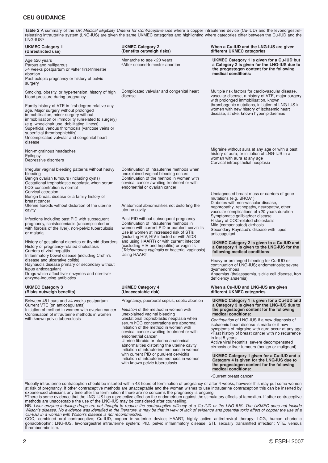#### **CEU GUIDANCE**

releasing intrauterine system (LNG-IUS) are given the same UKMEC categories and highlighting where categories differ between the Cu-IUD and the LNG-IUS<sup>6</sup> **UKMEC Category 1 (Unrestricted use)** Age ≥20 years Parous and nulliparous >4 weeks postpartum or <sup>a</sup>after first-trimester abortion Past ectopic pregnancy or history of pelvic surgery Smoking, obesity, or hypertension, history of high blood pressure during pregnancy Family history of VTE in first-degree relative any age. Major surgery without prolonged immobilisation, minor surgery without immobilisation or immobility (unrelated to surgery) (e.g. wheelchair use, debilitating illness) Superficial venous thrombosis (varicose veins or superficial thrombophlebitis) Uncomplicated valvular and congenital heart disease Non-migrainous headaches Epilepsy Depressive disorders Irregular vaginal bleeding patterns without heavy bleeding Benign ovarian tumours (including cysts) Gestational trophoblastic neoplasia when serum hCG concentration is normal Cervical ectropion Benign breast disease or a family history of breast cancer Uterine fibroids without distortion of the uterine cavity Infections including past PID with subsequent pregnancy, schistosomiasis (uncomplicated or with fibrosis of the liver), non-pelvic tuberculosis or malaria History of gestational diabetes or thyroid disorders History of pregnancy-related cholestasis Carriers of viral hepatitis Inflammatory bowel disease (including Crohn's disease and ulcerative colitis) Raynaud's disease primary or secondary without lupus anticoagulant Drugs which affect liver enzymes and non-liver enzyme-inducing antibiotics **UKMEC Category 3 (Risks outweigh benefits)** Between 48 hours and <4 weeks postpartum Current VTE (on anticoagulants) Initiation of method in women with ovarian cancer Continuation of intrauterine methods in women with known pelvic tuberculosis **UKMEC Category 2 (Benefits outweigh risks)** Menarche to age <20 years aAfter second-trimester abortion Complicated valvular and congenital heart disease Continuation of intrauterine methods when unexplained vaginal bleeding occurs Continuation of the method in women with cervical cancer awaiting treatment or with endometrial or ovarian cancer Anatomical abnormalities not distorting the uterine cavity Past PID without subsequent pregnancy Continuation of intrauterine methods in women with current PID or purulent cervicitis Use in women at increased risk of STIs (including HIV, HIV infected or with AIDS and using HAART) or with current infection (excluding HIV and hepatitis) or vaginitis (*Trichomonas vaginalis* or bacterial vaginosis) Using HAART **UKMEC Category 4 (Unacceptable risk)** Pregnancy, puerperal sepsis, septic abortion *Initiation* of the method in women with unexplained vaginal bleeding Gestational trophoblastic neoplasia when serum hCG concentrations are abnormal Initiation of the method in women with cervical cancer awaiting treatment or with endometrial cancer Uterine fibroids or uterine anatomical abnormalities distorting the uterine cavity Initiation of intrauterine methods in women with current PID or purulent cervicitis **When a Cu-IUD and the LNG-IUS are given different UKMEC categories UKMEC Category 1 is given for a Cu-IUD but a Category 2 is given for the LNG-IUS due to the progestogen content for the following medical conditions:** Multiple risk factors for cardiovascular disease, vascular disease, a history of VTE, major surgery with prolonged immobilisation, known thrombogenic mutations, initiation of LNG-IUS in women with new history of ischaemic heart disease, stroke, known hyperlipidaemias Migraine without aura at any age or with a past history of aura; or initiation of LNG-IUS in a woman with aura at any age Cervical intraepithelial neoplasia Undiagnosed breast mass or carriers of gene mutations (e.g. BRCA1) Diabetes with non-vascular disease, nephropathy, retinopathy, neuropathy, other vascular complications of >20 years duration Symptomatic gallbladder disease History of COC-related cholestasis Mild (compensated) cirrhosis Secondary Raynaud's disease with lupus anticoagulant **UKMEC Category 2 is given to a Cu-IUD and a Category 1 is given to the LNG-IUS for the following medical conditions:** Heavy or prolonged bleeding for Cu-IUD or continuation of LNG-IUS; endometriosis; severe dysmenorrhoea Anaemias (thalassaemia, sickle cell disease, iron deficiency anaemia) **When a Cu-IUD and LNG-IUS are given different UKMEC categories UKMEC Category 1 is given for a Cu-IUD and a Category 3 is given for the LNG-IUS due to the progestogen content for the following medical conditions:** *Continuation* of LNG-IUS if a new diagnosis of ischaemic heart disease is made or if new symptoms of migraine with aura occur at any age bPast history of breast cancer with no recurrence in last 5 years Active viral hepatitis, severe decompensated cirrhosis or liver tumours (benign or malignant) **UKMEC Category 1 given for a Cu-IUD and a**

**Table 2** A summary of the *UK Medical Eligibility Criteria for Contraceptive Use* where a copper intrauterine device (Cu-IUD) and the levonorgestrel-

**medical conditions: bCurrent breast cance** 

**Category 4 is given for the LNG-IUS due to the progestogen content for the following**

aIdeally intrauterine contraception should be inserted within 48 hours of termination of pregnancy or after 4 weeks, however this may put some women at risk of pregnancy. If other contraceptive methods are unacceptable and the woman wishes to use intrauterine contraception this can be inserted by

Initiation of intrauterine methods in women

with known pelvic tuberculosis

experienced clinicians any time after the termination if there are no concerns the pregnancy is ongoing.<br><sup>b</sup>There is some evidence that the LNG-IUS has a protective effect on the endometrium against the stimulatory effects methods are unacceptable the use of the LNG-IUS may be considered after counselling.

NB. *Liver enzyme-inducing drugs are not thought to reduce the contraceptive efficacy of a Cu-IUD or the LNG-IUS. The UKMEC does not include Wilson's disease. No evidence was identified in the literature. It may be that in view of lack of evidence and potential toxic effect of copper the use of a Cu-IUD in a woman with Wilson's disease is not recommended*.

COC, combined oral contraceptive; Cu-IUD, copper intrauterine device; HAART, highly active antiretroviral therapy; hCG, human chorionic gonadotrophin; LNG-IUS, levonorgestrel intrauterine system; PID, pelvic inflammatory disease; STI, sexually transmitted infection; VTE, venous thromboembolism.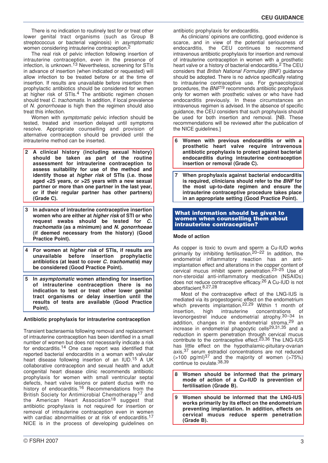There is no indication to routinely test for or treat other lower genital tract organisms (such as Group B streptococcus or bacterial vaginosis) in *asymptomatic* women considering intrauterine contraception.<sup>2</sup>

The real risk of pelvic infection following insertion of intrauterine contraception, even in the presence of infection, is unknown.<sup>13</sup> Nevertheless, screening for STIs in advance of insertion (when indicated or requested) will allow infection to be treated before or at the time of insertion. If results are unavailable before insertion then prophylactic antibiotics should be considered for women at higher risk of STIs.<sup>4</sup> The antibiotic regimen chosen should treat *C. trachomatis*. In addition, if local prevalence of *N. gonorrhoeae* is high then the regimen should also treat this infection.

Women with *symptomatic* pelvic infection should be tested, treated and insertion delayed until symptoms resolve. Appropriate counselling and provision of alternative contraception should be provided until the intrauterine method can be inserted.

- **2 A clinical history (including sexual history) should be taken as part of the routine assessment for intrauterine contraception to assess suitability for use of the method and identify those at** *higher risk* **of STIs (i.e. those aged <25 years, or >25 years with a new sexual partner or more than one partner in the last year, or if their regular partner has other partners) (Grade C).**
- **3 In advance of intrauterine contraceptive insertion women who are either at** *higher risk* **of STI or who request swabs should be tested for** *C. trachomatis* **(as a minimum) and** *N. gonorrhoeae* **(if deemed necessary from the history) (Good Practice Point).**
- **4 For women at** *higher risk* **of STIs, if results are** before insertion prophylactic **antibiotics (at least to cover** *C. trachomatis***) may be considered (Good Practice Point).**
- **5 In** *asymptomatic* **women attending for insertion of intrauterine contraception there is no indication to test or treat other lower genital tract organisms or delay insertion until the results of tests are available (Good Practice Point).**

#### **Antibiotic prophylaxis for intrauterine contraception**

Transient bacteraemia following removal and replacement of intrauterine contraception has been identified in a small number of women but does not necessarily indicate a risk for endocarditis.14 One case report was identified that reported bacterial endocarditis in a woman with valvular heart disease following insertion of an IUD.15 A UK collaborative contraception and sexual health and adult congenital heart disease clinic recommends antibiotic prophylaxis for women with small ventricular septal defects, heart valve lesions or patent ductus with no history of endocarditis.<sup>16</sup> Recommendations from the British Society for Antimicrobial Chemotherapy<sup>17</sup> and the American Heart Association<sup>18</sup> suggest that antibiotic prophylaxis is not required for insertion or removal of intrauterine contraception even in women with cardiac abnormalities or at risk of endocarditis.<sup>17</sup> NICE is in the process of developing guidelines on

antibiotic prophylaxis for endocarditis.

As clinicians' opinions are conflicting, good evidence is scarce, and in view of the potential seriousness of endocarditis, the CEU continues to recommend intravenous antibiotic prophylaxis for insertion and removal of intrauterine contraception in women with a prosthetic heart valve or a history of bacterial endocarditis.<sup>2</sup> The CEU considers that *British National Formulary (BNF)* guidance should be adopted. There is no advice specifically relating to intrauterine contraceptive use. For gynaecological procedures, the *BNF*19 recommends antibiotic prophylaxis only for women with prosthetic valves or who have had endocarditis previously. In these circumstances an intravenous regimen is advised. In the absence of specific guidance, the CEU considers that such prophylaxis should be used for both insertion and removal. [NB. These recommendations will be reviewed after the publication of the NICE guidelines.]

- **6 Women with previous endocarditis or with a prosthetic heart valve require intravenous antibiotic prophylaxis to protect against bacterial endocarditis during intrauterine contraception insertion or removal (Grade C).**
- **7 When prophylaxis against bacterial endocarditis is required, clinicians should refer to the** *BNF* **for the most up-to-date regimen and ensure the intrauterine contraceptive procedure takes place in an appropriate setting (Good Practice Point).**

#### **What information should be given to women when counselling them about intrauterine contraception?**

#### **Mode of action**

As copper is toxic to ovum and sperm a Cu-IUD works primarily by inhibiting fertilisation.<sup>20–22</sup> In addition, the endometrial inflammatory reaction has an antiimplantation effect and alterations in the copper content of cervical mucus inhibit sperm penetration.<sup>23–25</sup> Use of non-steroidal anti-inflammatory medication (NSAIDs) does not reduce contraceptive efficacy.26 A Cu-IUD is not abortifacient.8,27,28

Most of the contraceptive effect of the LNG-IUS is mediated via its progestogenic effect on the endometrium which prevents implantation.<sup>22,29</sup> Within 1 month of insertion. high intrauterine concentrations of insertion, high intrauterine concentrations of levonorgestrel induce endometrial atrophy.<sup>30-34</sup> In addition, changes in the endometrial stroma, <sup>29</sup> an increase in endometrial phagocytic cells29,31,35 and a reduction in sperm penetration through cervical mucus contribute to the contraceptive effect.23,36 The LNG-IUS has little effect on the hypothalamic-pituitary-ovarian axis,37 serum estradiol concentrations are not reduced  $(>100 \text{ pg/ml})^{37}$  and the majority of women  $(>75%)$ continue to ovulate.38,39

- **8 Women should be informed that the primary mode of action of a Cu-IUD is prevention of fertilisation (Grade B).**
- **9 Women should be informed that the LNG-IUS works primarily by its effect on the endometrium preventing implantation. In addition, effects on cervical mucus reduce sperm penetration (Grade B).**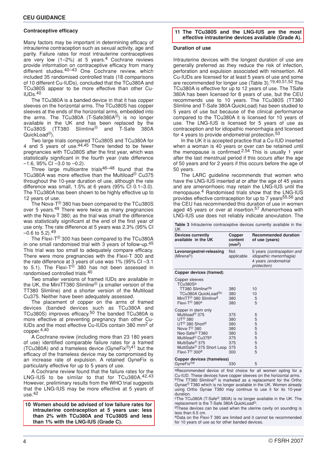#### **Contraceptive efficacy**

Many factors may be important in determining efficacy of intrauterine contraception such as sexual activity, age and parity. Failure rates for most intrauterine contraceptives are very low (1–2%) at 5 years.4 Cochrane reviews provide information on contraceptive efficacy from many different studies.<sup>40–43</sup> One Cochrane review, which included 35 randomised controlled trials (18 comparisons of 10 different Cu-IUDs), concluded that the TCu380A and TCu380S appear to be more effective than other Cu- $IUDs<sup>.40</sup>$ 

The TCu380A is a banded device in that it has copper sleeves on the horizontal arms. The TCu380S has copper sleeves at the ends of the horizontal arms, embedded into the arms. The TCu380A (T-Safe380A®) is no longer available in the UK and has been replaced by the TCu380S (TT380 Slimline® and T-Safe 380A QuickLoad<sup>®</sup>).

Two large trials compared TCu380S and TCu380A for 4 and 5 years of use. $44,45$  There tended to be fewer pregnancies with TCu380S after the first year, which was statistically significant in the fourth year (rate difference  $-1.6$ , 95% CI $-3.0$  to  $-0.2$ ).

Three large multicentre trials<sup>46–48</sup> found that the TCu380A was more effective than the Multiload<sup>®</sup> Cu375 throughout the 10-year duration of use, although the rate difference was small, 1.5% at 6 years (95% CI 0.1–3.0). The TCu380A has been shown to be highly effective up to 12 years of use.

The Nova-T $^\circledR$  380 has been compared to the TCu380S over 5 years.49 There were twice as many pregnancies with the Nova-T 380; as the trial was small the difference was statistically significant at the end of the first year of use only. The rate difference at 5 years was 2.3% (95% CI  $-0.6$  to 5.2).  $49$ 

The Flexi-T $^{\circledR}$  300 has been compared to the TCu380A in one small randomised trial with 3 years of follow-up.45 This trial was too small to adequately compare efficacy. There were more pregnancies with the Flexi-T 300 and the rate difference at 3 years of use was 1% (95% CI –3.1 to 5.1). The Flexi-T® 380 has not been assessed in randomised controlled trials.40

Two smaller versions of framed IUDs are available in the UK, the MiniTT380 Slimline® (a smaller version of the TT380 Slimline) and a shorter version of the Multiload Cu375. Neither have been adequately assessed.

The placement of copper on the arms of framed devices (banded devices such as TCu380A and TCu380S) improves efficacy.50 The banded TCu380A is more effective at preventing pregnancy than other Cu-IUDs and the most effective Cu-IUDs contain 380 mm2 of copper.4,40

A Cochrane review (including more than 23 180 years of use) identified comparable failure rates for a framed (TCu380A) and a frameless device (GyneFix®)41 but the efficacy of the frameless device may be compromised by an increase rate of expulsion. A retained GyneFix is particularly effective for up to 5 years of use.

A Cochrane review found that the failure rates for the LNG-IUS to be similar to that for TCu380A.42,43 However, preliminary results from the WHO trial suggests that the LNG-IUS may be more effective at 5 years of use.42

**10 Women should be advised of low failure rates for intrauterine contraception at 5 years use: less than 2% with TCu380A and TCu380S and less than 1% with the LNG-IUS (Grade C).**

#### **11 The TCu380S and the LNG-IUS are the most effective intrauterine devices available (Grade A).**

#### **Duration of use**

Intrauterine devices with the longest duration of use are generally preferred as they reduce the risk of infection, perforation and expulsion associated with reinsertion. All Cu-IUDs are licensed for at least 5 years of use and some are recommended for longer use (Table 3).19,40,51,52 The TCu380A is effective for up to 12 years of use. The TSafe 380A has been licensed for 8 years of use, but the CEU recommends use to 10 years. The TCu380S (TT380 Slimline and T-Safe 380A QuickLoad) has been studied to 5 years of use but because of the clinical performance compared to the TCu380A it is licensed for 10 years of use. The LNG-IUS is licensed for 5 years of use as contraception and for idiopathic menorrhagia and licensed for 4 years to provide endometrial protection.53

In the UK it is accepted practice that a Cu-IUD inserted when a woman is 40 years or over can be retained until the menopause is confirmed.<sup>2,54</sup> This is usually 1 year after the last menstrual period if this occurs after the age of 50 years and for 2 years if this occurs before the age of 50 years.

The LARC guideline recommends that women who have the LNG-IUS inserted at or after the age of 45 years and are amenorrhoeic may retain the LNG-IUS until the menopause.4 Randomised trials show that the LNG-IUS provides effective contraception for up to 7 years<sup>55,56</sup> and the CEU has recommended this duration of use in women aged 45 years or over at insertion.<sup>57</sup> Amenorrhoea with LNG-IUS use does not reliably indicate anovulation. The

**Table 3** Intrauterine contraceptive devices currently available in the UK

| UK                                                                                                                                                                                                                                                                                                                                        |                                                             |                                                                                                     |  |  |
|-------------------------------------------------------------------------------------------------------------------------------------------------------------------------------------------------------------------------------------------------------------------------------------------------------------------------------------------|-------------------------------------------------------------|-----------------------------------------------------------------------------------------------------|--|--|
| Devices currently<br>available in the UK                                                                                                                                                                                                                                                                                                  | Copper<br>content<br>(mm <sup>2</sup> )                     | <b>Recommended duration</b><br>of use (years)                                                       |  |  |
| Levonorgestrel-releasing<br>(Mirena <sup>®</sup> )                                                                                                                                                                                                                                                                                        | Not<br>applicable                                           | 5 years (contraception and<br><i>idiopathic menorrhagia)</i><br>4 years (endometrial<br>protection) |  |  |
| Copper devices (framed)                                                                                                                                                                                                                                                                                                                   |                                                             |                                                                                                     |  |  |
| Copper sleeves<br>TCu380Sa<br>TT380 Slimline®b<br>TCu380A QuickLoad®c<br>MiniTT <sup>®</sup> 380 Slimline <sup>d</sup><br>Flexi- $T^{\circledR}$ 380 <sup>e</sup>                                                                                                                                                                         | 380<br>380<br>380<br>380                                    | 10<br>10<br>5<br>5                                                                                  |  |  |
| Copper in stem only<br>Multiload <sup>®</sup> 375<br>$UT^{\circledR}$ 380<br>UT <sup>®</sup> 380 Short <sup>d</sup><br>Nova-T <sup>®</sup> 380<br>Neo-Safe <sup>®</sup> T380<br>Multiload <sup>®</sup> Cu375 <sup>d</sup><br>MultiSafe <sup>®</sup> 375<br>MultiSafe <sup>®</sup> 375 Short Loop<br>Flexi-T <sup>®</sup> 300 <sup>d</sup> | 375<br>380<br>380<br>380<br>380<br>375<br>375<br>375<br>300 | 5<br>5<br>5<br>$\frac{5}{5}$<br>5<br>5<br>5<br>5                                                    |  |  |
| Copper devices (frameless)<br>GyneFix <sup>®d</sup><br>5<br>330                                                                                                                                                                                                                                                                           |                                                             |                                                                                                     |  |  |

aRecommended device of first choice for all women opting for a Cu-IUD. These devices have copper sleeves on the horizontal arms. bThe TT380 Slimline® is marketed as a replacement for the Ortho Gynae® T380 which is no longer available in the UK. Women already using Ortho Gynae T380 may continue to use it for its 10-year duration.

cThe TCu380A (T-Safe® 380A) is no longer available in the UK. The replacement is the T-Safe 380A QuickLoad®.

dThese devices can be used when the uterine cavity on sounding is less than 6.5 cm.

eData on the Flexi-T 380 are limited and it cannot be recommended for 10 years of use as for other banded devices.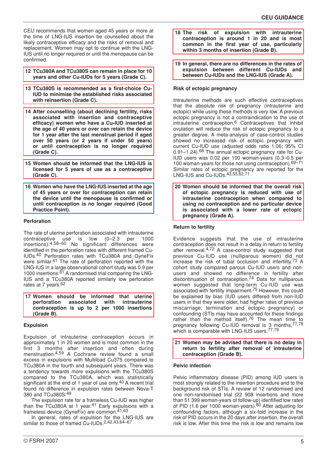CEU recommends that women aged 45 years or more at the time of LNG-IUS insertion be counselled about the likely contraceptive efficacy and the risks of removal and replacement. Women may opt to continue with the LNG-IUS until no longer required or until the menopause can be confirmed.

- **12 TCu380A and TCu380S can remain in place for 10 years and other Cu-IUDs for 5 years (Grade C).**
- **13 TCu380S is recommended as a first-choice Cu-IUD to minimise the established risks associated with reinsertion (Grade C).**
- **14 After counselling (about declining fertility, risks associated with insertion and contraceptive efficacy) women who have a Cu-IUD inserted at the age of 40 years or over can retain the device for 1 year after the last menstrual period if aged over 50 years (or 2 years if under 50 years) or until contraception is no longer required (Grade C).**
- **15 Women should be informed that the LNG-IUS is licensed for 5 years of use as a contraceptive (Grade C).**
- **16 Women who have the LNG-IUS inserted at the age of 45 years or over for contraception can retain the device until the menopause is confirmed or until contraception is no longer required (Good Practice Point).**

#### **Perforation**

The rate of uterine perforation associated with intrauterine contraceptive use is low (0–2.3 per 1000 insertions).4,58–60 No significant differences were identified in the perforation rates with different framed Cu-IUDs.40 Perforation rates with TCu380A and GyneFix were similar.41 The rate of perforation reported with the LNG-IUS in a large observational cohort study was 0.9 per 1000 insertions.<sup>61</sup> A randomised trial comparing the LNG-IUS and a TCu380A reported similarly low perforation rates at 7 years.<sup>62</sup>

**17 Women should be informed that uterine perforation associated with intrauterine contraception is up to 2 per 1000 insertions (Grade B).**

#### **Expulsion**

Expulsion of intrauterine contraception occurs in approximately 1 in 20 women and is most common in the first 3 months after insertion and often during menstruation.<sup>4,59</sup> A Cochrane review found a small excess in expulsions with Multiload Cu375 compared to TCu380A in the fourth and subsequent years. There was a tendency towards more expulsions with the TCu380S compared to the TCu380A, which was statistically significant at the end of 1 year of use only.<sup>40</sup> A recent trial found no difference in expulsion rates between Nova-T 380 and TCu380S.49

The expulsion rate for a frameless Cu-IUD was higher than the TCu380A at 1 year.<sup>41</sup> Early expulsions with a frameless device (GyneFix) are common.41,63

In general, rates of expulsion for the LNG-IUS are similar to those of framed Cu-IUDs.<sup>2,42,43,64-67</sup>

© FSRH 2007

- **18 The risk of expulsion with intrauterine contraception is around 1 in 20 and is most common in the first year of use, particularly within 3 months of insertion (Grade B).**
- **19 In general, there are no differences in the rates of expulsion between different Cu-IUDs and between Cu-IUDs and the LNG-IUS (Grade A).**

#### **Risk of ectopic pregnancy**

Intrauterine methods are such effective contraceptives that the absolute risk of pregnancy (intrauterine and ectopic) while using these methods is very low. A previous ectopic pregnancy is not a contraindication to the use of intrauterine contraception.6 Contraceptives that inhibit ovulation will reduce the risk of ectopic pregnancy to a greater degree. A meta-analysis of case-control studies showed no increased risk of ectopic pregnancy with current Cu-IUD use (adjusted odds ratio 1.06; 95% CI 0.91–1.24).68 The annual ectopic pregnancy rate for Cu-IUD users was 0.02 per 100 woman-years (0.3–0.5 per 100 woman-years for those not using contraception).  $69-71$ Similar rates of ectopic pregnancy are reported for the LNG-IUS and Cu-IUDs.43,55,62,71

**20 Women should be informed that the overall risk of ectopic pregnancy is reduced with use of intrauterine contraception when compared to using no contraception and no particular device is associated with a lower rate of ectopic pregnancy (Grade A).**

#### **Return to fertility**

Evidence suggests that the use of intrauterine contraception does not result in a delay in return to fertility after removal.4,72 A case-control study suggested that previous Cu-IUD use (nulliparous women) did not increase the risk of tubal occlusion and infertility.73 A cohort study compared parous Cu-IUD users and nonusers and showed no difference in fertility after discontinuation of contraception.74 Data for nulliparous women suggested that long-term Cu-IUD use was associated with fertility impairment.75 However, this could be explained by bias (IUD users differed from non-IUD users in that they were older, had higher rates of previous miscarriage, termination and ectopic pregnancy) or confounding (STIs may have accounted for these findings rather than the method itself).<sup>76</sup> The mean time to pregnancy following Cu-IUD removal is 3 months,77,78 which is comparable with LNG-IUS users.77,79

**21 Women may be advised that there is no delay in return to fertility after removal of intrauterine contraception (Grade B).**

#### **Pelvic infection**

Pelvic inflammatory disease (PID) among IUD users is most strongly related to the insertion procedure and to the background risk of STIs. A review of 12 randomised and one non-randomised trial (22 908 insertions and more than 51 399 woman-years of follow-up) identified low rates of PID (1.6 per 1000 woman-years).<sup>80</sup> After adjusting for confounding factors, although a six-fold increase in the risk of PID occurs in the 20 days after insertion, the overall risk is low. After this time the risk is low and remains low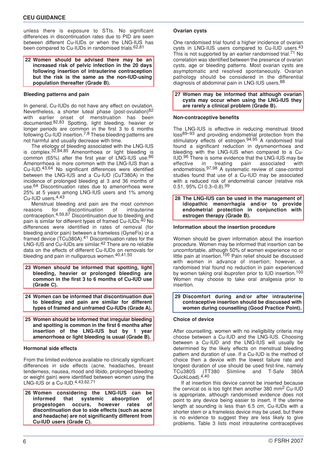unless there is exposure to STIs. No significant differences in discontinuation rates due to PID are seen between different Cu-IUDs or when the LNG-IUS has been compared to Cu-IUDs in randomised trials.<sup>62,81</sup>

**22 Women should be advised there may be an increased risk of pelvic infection in the 20 days following insertion of intrauterine contraception but the risk is the same as the non-IUD-using population thereafter (Grade B).**

#### **Bleeding patterns and pain**

In general, Cu-IUDs do not have any effect on ovulation. Nevertheless, a shorter luteal phase (post-ovulation)82 with earlier onset of menstruation has been documented.82,83 Spotting, light bleeding, heavier or longer periods are common in the first 3 to 6 months following Cu-IUD insertion.7,8 These bleeding patterns are not harmful and usually decrease with time.

The etiology of bleeding associated with the LNG-IUS is complex.<sup>32,84,85</sup> Amenorrhoea or light bleeding is common (65%) after the first year of LNG-IUS use.86 Amenorrhoea is more common with the LNG-IUS than a Cu-IUD.43,64 No significant differences were identified between the LNG-IUS and a Cu-IUD (CuT380A) in the incidence of prolonged bleeding at 3 and 36 months of use.<sup>64</sup> Discontinuation rates due to amenorrhoea were 25% at 5 years among LNG-IUS users and 1% among Cu-IUD users.4,43

Menstrual bleeding and pain are the most common<br>sons for discontinuation of intrauterine reasons for discontinuation of contraception.4,59,87 Discontinuation due to bleeding and pain is similar for different types of framed Cu-IUDs.<sup>40</sup> No differences were identified in rates of removal (for bleeding and/or pain) between a frameless (GyneFix) or a framed device  $(\dot{T}Cu380A)$ .<sup>41</sup> Discontinuation rates for the LNG-IUS and Cu-IUDs are similar.<sup>42</sup> There are no reliable data on the effects of different Cu-IUDs on removals for bleeding and pain in nulliparous women.<sup>40,41,50</sup>

- **23 Women should be informed that spotting, light bleeding, heavier or prolonged bleeding are common in the first 3 to 6 months of Cu-IUD use (Grade C).**
- **24 Women can be informed that discontinuation due to bleeding and pain are similar for different types of framed and unframed Cu-IUDs (Grade A).**
- **25 Women should be informed that irregular bleeding and spotting is common in the first 6 months after insertion of the LNG-IUS but by 1 year amenorrhoea or light bleeding is usual (Grade B).**

#### **Hormonal side effects**

From the limited evidence available no clinically significant differences in side effects (acne, headaches, breast tenderness, nausea, mood and libido, prolonged bleeding or weight gain) were identified between women using the LNG-IUS or a Cu-IUD.4,43,62,71

**26 Women considering the LNG-IUS can be** informed that systemic **progestogen occurs, however rates of discontinuation due to side effects (such as acne and headache) are not significantly different from Cu-IUD users (Grade C).**

#### **Ovarian cysts**

One randomised trial found a higher incidence of ovarian cysts in LNG-IUS users compared to Cu-IUD users.43 This is not supported by an earlier randomised trial.<sup>71</sup> No correlation was identified between the presence of ovarian cysts, age or bleeding patterns. Most ovarian cysts are asymptomatic and resolved spontaneously. Ovarian pathology should be considered in the differential diagnosis of abdominal pain in LNG-IUS users.<sup>88</sup>

**27 Women may be informed that although ovarian cysts may occur when using the LNG-IUS they are rarely a clinical problem (Grade B).**

#### **Non-contraceptive benefits**

The LNG-IUS is effective in reducing menstrual blood loss89–93 and providing endometrial protection from the stimulatory effects of estrogen.<sup>94,95</sup> A randomised trial found a significant reduction in dysmenorrhoea and bleeding with the LNG-IUS when compared to a Cu-IUD.<sup>96</sup> There is some evidence that the LNG-IUS may be effective in treating pain associated with effective in treating pain associated with endometriosis.<sup>97,98</sup> A systematic review of case-control studies found that use of a Cu-IUD may be associated with a reduced risk of endometrial cancer (relative risk 0.51, 95% CI 0.3–0.8).99

**28 The LNG-IUS can be used in the management of idiopathic menorrhagia and/or to provide endometrial protection in conjunction with estrogen therapy (Grade B).**

#### **Information about the insertion procedure**

Women should be given information about the insertion procedure. Women may be informed that insertion can be uncomfortable, although 50% of women experience no or little pain at insertion.<sup>100</sup> Pain relief should be discussed with women in advance of insertion; however, a randomised trial found no reduction in pain experienced by women taking oral ibuprofen prior to IUD insertion.<sup>100</sup> Women may choose to take oral analgesia prior to insertion.

**29 Discomfort during and/or after intrauterine contraceptive insertion should be discussed with women during counselling (Good Practice Point).**

#### **Choice of device**

After counselling, women with no ineligibility criteria may choose between a Cu-IUD and the LNG-IUS. Choosing between a Cu-IUD and the LNG-IUS will usually be determined by the likely effects on menstrual bleeding pattern and duration of use. If a Cu-IUD is the method of choice then a device with the lowest failure rate and longest duration of use should be used first-line, namely<br>TCu380S (TT380 Slimline and T-Safe 380A Slimline and T-Safe QuickLoad).<sup>4,40</sup>

If at insertion this device cannot be inserted because the cervical os is too tight then another 380 mm<sup>2</sup> Cu-IUD is appropriate, although randomised evidence does not point to any device being easier to insert. If the uterine length at sounding is less than 6.5 cm, Cu-IUDs with a shorter stem or a frameless device may be used, but there is no evidence to suggest they are less likely to give problems. Table 3 lists most intrauterine contraceptives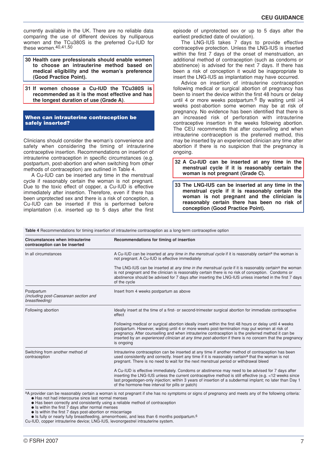currently available in the UK. There are no reliable data comparing the use of different devices by nulliparous women and the TCu380S is the preferred Cu-IUD for these women.40,41,50

- **30 Health care professionals should enable women to choose an intrauterine method based on medical eligibility and the woman's preference (Good Practice Point).**
- **31 If women choose a Cu-IUD the TCu380S is recommended as it is the most effective and has the longest duration of use (Grade A)**.

#### **When can intrauterine contraception be safely inserted?**

Clinicians should consider the woman's convenience and safety when considering the timing of intrauterine contraceptive insertion. Recommendations on insertion of intrauterine contraception in specific circumstances (e.g. postpartum, post-abortion and when switching from other methods of contraception) are outlined in Table 4.

A Cu-IUD can be inserted any time in the menstrual cycle if reasonably certain the woman is not pregnant. Due to the toxic effect of copper, a Cu-IUD is effective immediately after insertion. Therefore, even if there has been unprotected sex and there is a risk of conception, a Cu-IUD can be inserted if this is performed before implantation (i.e. inserted up to 5 days after the first

episode of unprotected sex or up to 5 days after the earliest predicted date of ovulation).

The LNG-IUS takes 7 days to provide effective contraceptive protection. Unless the LNG-IUS is inserted within the first 7 days of the onset of menstruation, an additional method of contraception (such as condoms or abstinence) is advised for the next 7 days. If there has been a risk of conception it would be inappropriate to insert the LNG-IUS as implantation may have occurred.

Advice on insertion of intrauterine contraception following medical or surgical abortion of pregnancy has been to insert the device within the first 48 hours or delay until 4 or more weeks postpartum.<sup>6</sup> By waiting until  $\geq 4$ weeks post-abortion some women may be at risk of pregnancy. No evidence has been identified that there is an increased risk of perforation with intrauterine contraceptive insertion in the weeks following abortion. The CEU recommends that after counselling and when intrauterine contraception is the preferred method, this may be inserted by an experienced clinician any time after abortion if there is no suspicion that the pregnancy is ongoing.

**32 A Cu-IUD can be inserted at any time in the menstrual cycle if it is reasonably certain the woman is not pregnant (Grade C).**

**33 The LNG-IUS can be inserted at any time in the menstrual cycle if it is reasonably certain the woman is not pregnant and the clinician is reasonably certain there has been no risk of conception (Good Practice Point).**

**Table 4** Recommendations for timing insertion of intrauterine contraception as a long-term contraceptive option

| A Cu-IUD can be inserted at any time in the menstrual cycle if it is reasonably certain <sup>a</sup> the woman is<br>not pregnant. A Cu-IUD is effective immediately                                                                                                                                                                                                                                                                          |  |
|-----------------------------------------------------------------------------------------------------------------------------------------------------------------------------------------------------------------------------------------------------------------------------------------------------------------------------------------------------------------------------------------------------------------------------------------------|--|
| The LNG-IUS can be inserted at <i>any time in the menstrual cycle</i> if it is reasonably certain <sup>a</sup> the woman<br>is not pregnant and the clinician is reasonably certain there is no risk of conception. Condoms or<br>abstinence should be advised for 7 days after inserting the LNG-IUS unless inserted in the first 7 days<br>of the cycle                                                                                     |  |
| Insert from 4 weeks postpartum as above                                                                                                                                                                                                                                                                                                                                                                                                       |  |
| Ideally insert at the time of a first- or second-trimester surgical abortion for immediate contraceptive<br>effect                                                                                                                                                                                                                                                                                                                            |  |
| Following medical or surgical abortion ideally insert within the first 48 hours or delay until 4 weeks<br>postpartum. However, waiting until 4 or more weeks post-termination may put women at risk of<br>pregnancy. After counselling and when intrauterine contraception is the preferred method it can be<br>inserted by an <i>experienced clinician at any time post-abortion</i> if there is no concern that the pregnancy<br>is ongoing |  |
| Intrauterine contraception can be inserted at any time if another method of contraception has been<br>used consistently and correctly. Insert any time if it is reasonably certain <sup>a</sup> that the woman is not<br>pregnant. There is no need to wait for the next menstrual period or withdrawal bleed                                                                                                                                 |  |
| A Cu-IUD is effective immediately. Condoms or abstinence may need to be advised for 7 days after<br>inserting the LNG-IUS unless the current contraceptive method is still effective (e.g. <12 weeks since<br>last progestogen-only injection; within 3 years of insertion of a subdermal implant; no later than Day 1<br>of the hormone-free interval for pills or patch)                                                                    |  |
|                                                                                                                                                                                                                                                                                                                                                                                                                                               |  |

aA provider can be reasonably certain a woman is not pregnant if she has no symptoms or signs of pregnancy and meets any of the following criteria:

● Has not had intercourse since last normal menses

● Has been correctly and consistently using a reliable method of contraception

 $\bullet$  Is within the first  $\overline{7}$  days after normal menses

● Is within the first 7 days post-abortion or miscarriage

 $\bullet$  Is fully or nearly fully breastfeeding, amenorrhoeic, and less than 6 months postpartum.<sup>6</sup>

Cu-IUD, copper intrauterine device; LNG-IUS, levonorgestrel intrauterine system.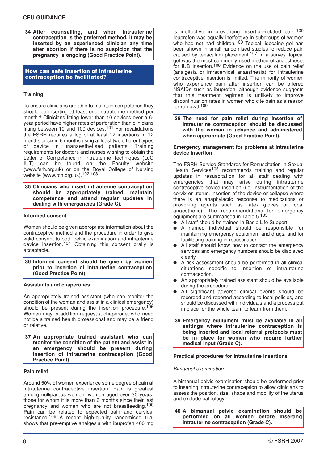**34 After counselling, and when intrauterine contraception is the preferred method, it may be inserted by an experienced clinician any time after abortion if there is no suspicion that the pregnancy is ongoing (Good Practice Point).**

**How can safe insertion of intrauterine contraception be facilitated?**

#### **Training**

To ensure clinicians are able to maintain competence they should be inserting at least one intrauterine method per month.4 Clinicians fitting fewer than 10 devices over a 6 year period have higher rates of perforation than clinicians fitting between 10 and 100 devices.<sup>101</sup> For revalidations the FSRH requires a log of at least 12 insertions in 12 months or six in 6 months using at least two different types of device in unanaesthetised patients. Training requirements for doctors and nurses wishing to obtain the Letter of Competence in Intrauterine Techniques (LoC IUT) can be found on the Faculty website (www.fsrh.org.uk) or on the Royal College of Nursing website (www.rcn.org.uk).102,103

**35 Clinicians who insert intrauterine contraception should be appropriately trained, maintain competence and attend regular updates in dealing with emergencies (Grade C).**

#### **Informed consent**

Women should be given appropriate information about the contraceptive method and the procedure in order to give valid consent to both pelvic examination and intrauterine device insertion.104 Obtaining this consent orally is acceptable.

**36 Informed consent should be given by women prior to insertion of intrauterine contraception (Good Practice Point).**

#### **Assistants and chaperones**

An appropriately trained assistant (who can monitor the condition of the woman and assist in a clinical emergency) should be present during the insertion procedure.<sup>105</sup> Women may in addition request a chaperone, who need not be a trained health professional and may be a friend or relative.

**37 An appropriate trained assistant who can monitor the condition of the patient and assist in an emergency should be present during insertion of intrauterine contraception (Good Practice Point).**

#### **Pain relief**

Around 50% of women experience some degree of pain at intrauterine contraceptive insertion. Pain is greatest among nulliparous women, women aged over 30 years, those for whom it is more than 6 months since their last pregnancy and women who are not breastfeeding.100 Pain can be related to expected pain and cervical resistance.106 A recent high-quality randomised trial shows that pre-emptive analgesia with ibuprofen 400 mg

is ineffective in preventing insertion-related pain.100 Ibuprofen was equally ineffective in subgroups of women who had not had children.<sup>100</sup> Topical lidocaine gel has been shown in small randomised studies to reduce pain caused by tenaculum placement.107 In a survey, topical gel was the most commonly used method of anaesthesia for IUD insertion.<sup>108</sup> Evidence on the use of pain relief (analgesia or intracervical anaesthesia) for intrauterine contraceptive insertion is limited. The minority of women who experience pain after insertion can be offered NSAIDs such as ibuprofen, although evidence suggests that this treatment regimen is unlikely to improve discontinuation rates in women who cite pain as a reason for removal.109

**38 The need for pain relief during insertion of intrauterine contraception should be discussed with the woman in advance and administered when appropriate (Good Practice Point).**

#### **Emergency management for problems at intrauterine device insertion**

The FSRH Service Standards for Resuscitation in Sexual Health Services<sup>105</sup> recommends training and regular updates in resuscitation for all staff dealing with emergencies that may arise during intrauterine contraceptive device insertion (i.e. instrumentation of the cervix or uterus, insertion of the device or collapse where there is an anaphylactic response to medications or provoking agents such as latex gloves or local anaesthetic). The recommendations for emergency equipment are summarised in Table 5.105

- All staff should be trained in Basic Life Support.
- A named individual should be responsible for maintaining emergency equipment and drugs, and for facilitating training in resuscitation.
- All staff should know how to contact the emergency services and emergency numbers should be displayed clearly.
- A risk assessment should be performed in all clinical situations specific to insertion of intrauterine contraception.
- An appropriately trained assistant should be available during the procedure.
- All significant adverse clinical events should be recorded and reported according to local policies, and should be discussed with individuals and a process put in place for the whole team to learn from them.
- **39 Emergency equipment must be available in all settings where intrauterine contraception is being inserted and local referral protocols must be in place for women who require further medical input (Grade C).**

#### **Practical procedures for intrauterine insertions**

#### *Bimanual examination*

A bimanual pelvic examination should be performed prior to inserting intrauterine contraception to allow clinicians to assess the position, size, shape and mobility of the uterus and exclude pathology.

**40 A bimanual pelvic examination should be performed on all women before inserting intrauterine contraception (Grade C).**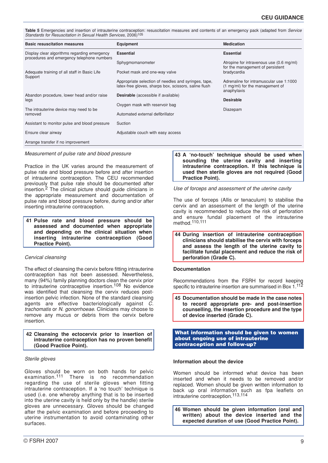**Table 5** Emergencies and insertion of intrauterine contraception: resuscitation measures and contents of an emergency pack (adapted from *Service Standards for Resuscitation in Sexual Health Services*, 2006)105

| <b>Basic resuscitation measures</b>           | Equipment                                                                                                     | <b>Medication</b>                                                                         |
|-----------------------------------------------|---------------------------------------------------------------------------------------------------------------|-------------------------------------------------------------------------------------------|
| Display clear algorithms regarding emergency  | <b>Essential</b>                                                                                              | <b>Essential</b>                                                                          |
| procedures and emergency telephone numbers    | Sphygmomanometer                                                                                              | Atropine for intravenous use (0.6 mg/ml)                                                  |
| Adequate training of all staff in Basic Life  | Pocket mask and one-way valve                                                                                 | for the management of persistent<br>bradycardia                                           |
| Support                                       | Appropriate selection of needles and syringes, tape,<br>latex-free gloves, sharps box, scissors, saline flush | Adrenaline for intramuscular use 1:1000<br>(1 mg/ml) for the management of<br>anaphylaxis |
| Abandon procedure, lower head and/or raise    | <b>Desirable</b> (accessible if available)                                                                    |                                                                                           |
| legs                                          | Oxygen mask with reservoir bag                                                                                | <b>Desirable</b>                                                                          |
| The intrauterine device may need to be        |                                                                                                               | Diazepam                                                                                  |
| removed                                       | Automated external defibrillator                                                                              |                                                                                           |
| Assistant to monitor pulse and blood pressure | Suction                                                                                                       |                                                                                           |
| Ensure clear airway                           | Adjustable couch with easy access                                                                             |                                                                                           |
| Arrange transfer if no improvement            |                                                                                                               |                                                                                           |

#### *Measurement of pulse rate and blood pressure*

Practice in the UK varies around the measurement of pulse rate and blood pressure before and after insertion of intrauterine contraception. The CEU recommended previously that pulse rate should be documented after insertion.<sup>2</sup> The clinical picture should guide clinicians in the appropriate measurement and documentation of pulse rate and blood pressure before, during and/or after inserting intrauterine contraception.

**41 Pulse rate and blood pressure should be assessed and documented when appropriate and depending on the clinical situation when inserting intrauterine contraception (Good Practice Point).**

#### *Cervical cleansing*

The effect of cleansing the cervix before fitting intrauterine contraception has not been assessed. Nevertheless, many (94%) family planning doctors clean the cervix prior to intrauterine contraceptive insertion.108 No evidence was identified that cleansing the cervix reduces postinsertion pelvic infection. None of the standard cleansing agents are effective bacteriologically against *C. trachomatis* or *N. gonorrhoeae*. Clinicians may choose to remove any mucus or debris from the cervix before insertion.

#### **42 Cleansing the ectocervix prior to insertion of intrauterine contraception has no proven benefit (Good Practice Point).**

#### *Sterile gloves*

Gloves should be worn on both hands for pelvic examination.<sup>111</sup> There is no recommendation regarding the use of sterile gloves when fitting intrauterine contraception. If a 'no touch' technique is used (i.e. one whereby anything that is to be inserted into the uterine cavity is held only by the handle) sterile gloves are unnecessary. Gloves should be changed after the pelvic examination and before proceeding to uterine instrumentation to avoid contaminating other surfaces.

**43 A 'no-touch' technique should be used when sounding the uterine cavity and inserting intrauterine contraception. If this technique is used then sterile gloves are not required (Good Practice Point).**

*Use of forceps and assessment of the uterine cavity*

The use of forceps (Allis or tenaculum) to stabilise the cervix and an assessment of the length of the uterine cavity is recommended to reduce the risk of perforation and ensure fundal placement of the intrauterine method.110,111

**44 During insertion of intrauterine contraception clinicians should stabilise the cervix with forceps and assess the length of the uterine cavity to facilitate fundal placement and reduce the risk of perforation (Grade C).**

#### **Documentation**

Recommendations from the FSRH for record keeping specific to intrauterine insertion are summarised in Box 1.112

**45 Documentation should be made in the case notes to record appropriate pre- and post-insertion counselling, the insertion procedure and the type of device inserted (Grade C).**

**What information should be given to women about ongoing use of intrauterine contraception and follow-up?**

#### **Information about the device**

Women should be informed what device has been inserted and when it needs to be removed and/or replaced. Women should be given written information to back up oral information such as fpa leaflets on intrauterine contraception.113,114

**46 Women should be given information (oral and written) about the device inserted and the expected duration of use (Good Practice Point).**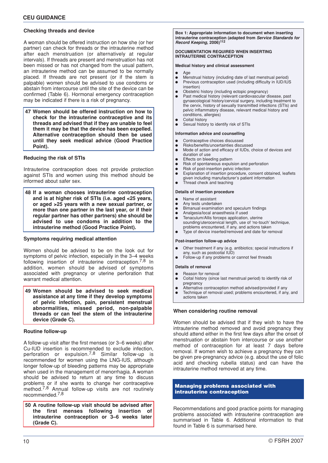#### **Checking threads and device**

A woman should be offered instruction on how she (or her partner) can check for threads or the intrauterine method after each menstruation (or alternatively at regular intervals). If threads are present and menstruation has not been missed or has not changed from the usual pattern, an intrauterine method can be assumed to be normally placed. If threads are not present (or if the stem is palpable) women should be advised to use condoms or abstain from intercourse until the site of the device can be confirmed (Table 6). Hormonal emergency contraception may be indicated if there is a risk of pregnancy.

**47 Women should be offered instruction on how to check for the intrauterine contraceptive and its threads and advised that if they are unable to feel them it may be that the device has been expelled. Alternative contraception should then be used until they seek medical advice (Good Practice Point).**

#### **Reducing the risk of STIs**

Intrauterine contraception does not provide protection against STIs and women using this method should be informed about safer sex.

**48 If a woman chooses intrauterine contraception and is at higher risk of STIs (i.e. aged <25 years, or aged >25 years with a new sexual partner, or more than one partner in the last year, or if their regular partner has other partners) she should be advised to use condoms in addition to the intrauterine method (Good Practice Point).**

#### **Symptoms requiring medical attention**

Women should be advised to be on the look out for symptoms of pelvic infection, especially in the 3–4 weeks following insertion of intrauterine contraception.7,8 In addition, women should be advised of symptoms associated with pregnancy or uterine perforation that warrant medical attention.

**49 Women should be advised to seek medical assistance at any time if they develop symptoms of pelvic infection, pain, persistent menstrual abnormalities, missed period, non-palpable threads or can feel the stem of the intrauterine device (Grade C).**

#### **Routine follow-up**

A follow-up visit after the first menses (or 3–6 weeks) after Cu-IUD insertion is recommended to exclude infection, perforation or expulsion.7,8 Similar follow-up is recommended for women using the LNG-IUS, although longer follow-up of bleeding patterns may be appropriate when used in the management of menorrhagia. A woman should be advised to return at any time to discuss problems or if she wants to change her contraceptive method.<sup>7,8</sup> Annual follow-up visits are not routinely recommended.7,8

**50 A routine follow-up visit should be advised after the first menses following insertion of intrauterine contraception or 3–6 weeks later (Grade C).**

**Box 1: Appropriate information to document when inserting intrauterine contraception (adapted from** *Service Standards for Record Keeping***, 2006)112**

#### **DOCUMENTATION REQUIRED WHEN INSERTING INTRAUTERINE CONTRACEPTION**

#### **Medical history and clinical assessment**

- Age
- Menstrual history (including date of last menstrual period) ● Previous contraception used (including difficulty in IUD/IUS insertion)
- Obstetric history (including ectopic pregnancy)
- Past medical history (relevant cardiovascular disease, past gynaecological history/cervical surgery, including treatment to the cervix, history of sexually transmitted infections (STIs) and pelvic inflammatory disease, relevant medical history and conditions, allergies)
- Coital history
- Sexual history to identify risk of STIs

#### **Information advice and counselling**

- Contraceptive choices discussed
- Risks/benefits/uncertainties discussed
- Mode of action and efficacy of IUDs, choice of devices and duration of use
- Effects on bleeding pattern
- Risk of spontaneous expulsion and perforation
- Risk of post-insertion pelvic infection
- Explanation of insertion procedure, consent obtained, leaflets given including manufacturer's patient information ● Thread check and teaching

#### **Details of insertion procedure**

- Name of assistant
- Any tests undertaken
- Bimanual examination and speculum findings
- Analgesia/local anaesthesia if used
- Tenaculum/Allis forceps application, uterine sounding/uterocervical length, use of 'no-touch' technique, problems encountered, if any, and actions taken
- Type of device inserted/removed and date for removal

#### **Post-insertion follow-up advice**

- Other treatment if any (e.g. antibiotics; special instructions if
- any, such as postcoital IUD) Follow-up if any problems or cannot feel threads

#### **Details of removal**

- **Reason for removal**
- Coital history (since last menstrual period) to identify risk of pregnancy
- Alternative contraception method advised/provided if any ● Technique of removal used; problems encountered, if any, and actions taken

#### **When considering routine removal**

Women should be advised that if they wish to have the intrauterine method removed and avoid pregnancy they should attend either in the first few days after the onset of menstruation or abstain from intercourse or use another method of contraception for at least 7 days before removal. If women wish to achieve a pregnancy they can be given pre-pregnancy advice (e.g. about the use of folic acid and checking rubella status) and can have the intrauterine method removed at any time.

#### **Managing problems associated with intrauterine contraception**

Recommendations and good practice points for managing problems associated with intrauterine contraception are summarised in Table 6. Additional information to that found in Table 6 is summarised here.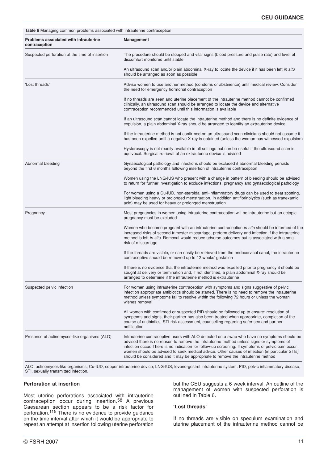| <b>Table 6</b> Managing common problems associated with intrauterine contraception |                                                                                                                                                                                                                                                                                                                                                                                                                                                                                    |  |  |  |
|------------------------------------------------------------------------------------|------------------------------------------------------------------------------------------------------------------------------------------------------------------------------------------------------------------------------------------------------------------------------------------------------------------------------------------------------------------------------------------------------------------------------------------------------------------------------------|--|--|--|
| Problems associated with intrauterine<br>contraception                             | <b>Management</b>                                                                                                                                                                                                                                                                                                                                                                                                                                                                  |  |  |  |
| Suspected perforation at the time of insertion                                     | The procedure should be stopped and vital signs (blood pressure and pulse rate) and level of<br>discomfort monitored until stable                                                                                                                                                                                                                                                                                                                                                  |  |  |  |
|                                                                                    | An ultrasound scan and/or plain abdominal X-ray to locate the device if it has been left in situ<br>should be arranged as soon as possible                                                                                                                                                                                                                                                                                                                                         |  |  |  |
| 'Lost threads'                                                                     | Advise women to use another method (condoms or abstinence) until medical review. Consider<br>the need for emergency hormonal contraception                                                                                                                                                                                                                                                                                                                                         |  |  |  |
|                                                                                    | If no threads are seen and uterine placement of the intrauterine method cannot be confirmed<br>clinically, an ultrasound scan should be arranged to locate the device and alternative<br>contraception recommended until this information is available                                                                                                                                                                                                                             |  |  |  |
|                                                                                    | If an ultrasound scan cannot locate the intrauterine method and there is no definite evidence of<br>expulsion, a plain abdominal X-ray should be arranged to identify an extrauterine device                                                                                                                                                                                                                                                                                       |  |  |  |
|                                                                                    | If the intrauterine method is not confirmed on an ultrasound scan clinicians should not assume it<br>has been expelled until a negative X-ray is obtained (unless the woman has witnessed expulsion)                                                                                                                                                                                                                                                                               |  |  |  |
|                                                                                    | Hysteroscopy is not readily available in all settings but can be useful if the ultrasound scan is<br>equivocal. Surgical retrieval of an extrauterine device is advised                                                                                                                                                                                                                                                                                                            |  |  |  |
| Abnormal bleeding                                                                  | Gynaecological pathology and infections should be excluded if abnormal bleeding persists<br>beyond the first 6 months following insertion of intrauterine contraception                                                                                                                                                                                                                                                                                                            |  |  |  |
|                                                                                    | Women using the LNG-IUS who present with a change in pattern of bleeding should be advised<br>to return for further investigation to exclude infections, pregnancy and gynaecological pathology                                                                                                                                                                                                                                                                                    |  |  |  |
|                                                                                    | For women using a Cu-IUD, non-steroidal anti-inflammatory drugs can be used to treat spotting,<br>light bleeding heavy or prolonged menstruation. In addition antifibrinolytics (such as tranexamic<br>acid) may be used for heavy or prolonged menstruation                                                                                                                                                                                                                       |  |  |  |
| Pregnancy                                                                          | Most pregnancies in women using intrauterine contraception will be intrauterine but an ectopic<br>pregnancy must be excluded                                                                                                                                                                                                                                                                                                                                                       |  |  |  |
|                                                                                    | Women who become pregnant with an intrauterine contraception in situ should be informed of the<br>increased risks of second-trimester miscarriage, preterm delivery and infection if the intrauterine<br>method is left in situ. Removal would reduce adverse outcomes but is associated with a small<br>risk of miscarriage                                                                                                                                                       |  |  |  |
|                                                                                    | If the threads are visible, or can easily be retrieved from the endocervical canal, the intrauterine<br>contraceptive should be removed up to 12 weeks' gestation                                                                                                                                                                                                                                                                                                                  |  |  |  |
|                                                                                    | If there is no evidence that the intrauterine method was expelled prior to pregnancy it should be<br>sought at delivery or termination and, if not identified, a plain abdominal X-ray should be<br>arranged to determine if the intrauterine method is extrauterine                                                                                                                                                                                                               |  |  |  |
| Suspected pelvic infection                                                         | For women using intrauterine contraception with symptoms and signs suggestive of pelvic<br>infection appropriate antibiotics should be started. There is no need to remove the intrauterine<br>method unless symptoms fail to resolve within the following 72 hours or unless the woman<br>wishes removal                                                                                                                                                                          |  |  |  |
|                                                                                    | All women with confirmed or suspected PID should be followed up to ensure: resolution of<br>symptoms and signs, their partner has also been treated when appropriate, completion of the<br>course of antibiotics, STI risk assessment, counselling regarding safer sex and partner<br>notification                                                                                                                                                                                 |  |  |  |
| Presence of actinomyces-like organisms (ALO)                                       | Intrauterine contraceptive users with ALO detected on a swab who have no symptoms should be<br>advised there is no reason to remove the intrauterine method unless signs or symptoms of<br>infection occur. There is no indication for follow-up screening. If symptoms of pelvic pain occur<br>women should be advised to seek medical advice. Other causes of infection (in particular STIs)<br>should be considered and it may be appropriate to remove the intrauterine method |  |  |  |

ALO, actinomyces-like organisms; Cu-IUD, copper intrauterine device; LNG-IUS, levonorgestrel intrauterine system; PID, pelvic inflammatory disease; STI, sexually transmitted infection.

#### **Perforation at insertion**

Most uterine perforations associated with intrauterine contraception occur during insertion.<sup>58</sup> A previous Caesarean section appears to be a risk factor for perforation.<sup>115</sup> There is no evidence to provide guidance on the time interval after which it would be appropriate to repeat an attempt at insertion following uterine perforation but the CEU suggests a 6-week interval. An outline of the management of women with suspected perforation is outlined in Table 6.

#### **'Lost threads'**

If no threads are visible on speculum examination and uterine placement of the intrauterine method cannot be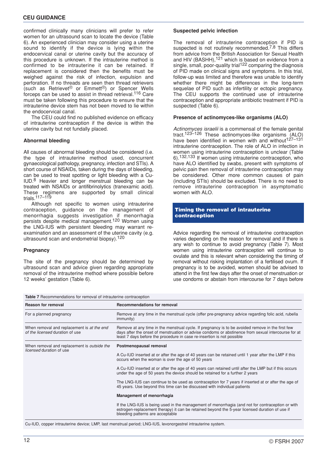confirmed clinically many clinicians will prefer to refer women for an ultrasound scan to locate the device (Table 6). An experienced clinician may consider using a uterine sound to identify if the device is lying within the endocervical canal or uterine cavity but the accuracy of this procedure is unknown. If the intrauterine method is confirmed to be intrauterine it can be retained. If replacement is considered then the benefits must be weighed against the risk of infection, expulsion and perforation. If no threads are seen then thread retrievers (such as Retrievet® or Emmett®) or Spencer Wells forceps can be used to assist in thread retrieval.<sup>116</sup> Care must be taken following this procedure to ensure that the intrauterine device stem has not been moved to lie within the endocervical canal.

The CEU could find no published evidence on efficacy of intrauterine contraception if the device is within the uterine cavity but not fundally placed.

#### **Abnormal bleeding**

All causes of abnormal bleeding should be considered (i.e. the type of intrauterine method used, concurrent gynaecological pathology, pregnancy, infection and STIs). A short course of NSAIDs, taken during the days of bleeding, can be used to treat spotting or light bleeding with a Cu-IUD.8 Heavier and longer menstrual bleeding can be treated with NSAIDs or antifibrinolytics (tranexamic acid). These regimens are supported by small clinical trials.117–119

Although not specific to women using intrauterine contraception, guidance on the management of menorrhagia suggests investigation if menorrhagia persists despite medical management.120 Women using the LNG-IUS with persistent bleeding may warrant reexamination and an assessment of the uterine cavity (e.g. ultrasound scan and endometrial biopsy).<sup>120</sup>

#### **Pregnancy**

The site of the pregnancy should be determined by ultrasound scan and advice given regarding appropriate removal of the intrauterine method where possible before 12 weeks' gestation (Table 6).

**Table 7 Becommendations for removal of intrauterine contraception** 

#### **Suspected pelvic infection**

The removal of intrauterine contraception if PID is suspected is not routinely recommended.<sup>7,8</sup> This differs from advice from the British Association for Sexual Health and HIV (BASHH),<sup>121</sup> which is based on evidence from a single, small, poor-quality trial<sup>122</sup> comparing the diagnosis of PID made on clinical signs and symptoms. In this trial, follow-up was limited and therefore was unable to identify whether there might be differences in the long-term sequelae of PID such as infertility or ectopic pregnancy. The CEU supports the continued use of intrauterine contraception and appropriate antibiotic treatment if PID is suspected (Table 6).

#### **Presence of actinomyces-like organisms (ALO)**

*Actinomyces israelii* is a commensal of the female genital tract. 123–126 These actinomyces-like organisms (ALO) have been identified in women with and without<sup>127–131</sup> intrauterine contraception. The role of ALO in infection in women using intrauterine contraception is unclear (Table 6).132,133 If women using intrauterine contraception, who have ALO identified by swabs, present with symptoms of pelvic pain then removal of intrauterine contraception may be considered. Other more common causes of pain (including STIs) should be excluded. There is no need to remove intrauterine contraception in asymptomatic women with ALO.

#### **Timing the removal of intrauterine contraception**

Advice regarding the removal of intrauterine contraception varies depending on the reason for removal and if there is any wish to continue to avoid pregnancy (Table 7). Most women using intrauterine contraception will continue to ovulate and this is relevant when considering the timing of removal without risking implantation of a fertilised ovum. If pregnancy is to be avoided, women should be advised to attend in the first few days after the onset of menstruation or use condoms or abstain from intercourse for 7 days before

| <b>Reason for removal</b>                                                      | <b>Recommendations for removal</b>                                                                                                                                                                                                                                                |  |  |
|--------------------------------------------------------------------------------|-----------------------------------------------------------------------------------------------------------------------------------------------------------------------------------------------------------------------------------------------------------------------------------|--|--|
| For a planned pregnancy                                                        | Remove at any time in the menstrual cycle (offer pre-pregnancy advice regarding folic acid, rubella<br>immunity)                                                                                                                                                                  |  |  |
| When removal and replacement is at the end<br>of the licensed duration of use  | Remove at any time in the menstrual cycle. If pregnancy is to be avoided remove in the first few<br>days after the onset of menstruation or advise condoms or abstinence from sexual intercourse for at<br>least 7 days before the procedure in case re-insertion is not possible |  |  |
| When removal and replacement is outside the<br><i>licensed</i> duration of use | Postmenopausal removal                                                                                                                                                                                                                                                            |  |  |
|                                                                                | A Cu-IUD inserted at or after the age of 40 years can be retained until 1 year after the LMP if this<br>occurs when the woman is over the age of 50 years                                                                                                                         |  |  |
|                                                                                | A Cu-IUD inserted at or after the age of 40 years can retained until after the LMP but if this occurs<br>under the age of 50 years the device should be retained for a further 2 years                                                                                            |  |  |
|                                                                                | The LNG-IUS can continue to be used as contraception for 7 years if inserted at or after the age of<br>45 years. Use beyond this time can be discussed with individual patients                                                                                                   |  |  |
|                                                                                | Management of menorrhagia                                                                                                                                                                                                                                                         |  |  |
|                                                                                | If the LNG-IUS is being used in the management of menorrhagia (and not for contraception or with<br>estrogen-replacement therapy) it can be retained beyond the 5-year licensed duration of use if<br>bleeding patterns are acceptable                                            |  |  |

Cu-IUD, copper intrauterine device; LMP, last menstrual period; LNG-IUS, levonorgestrel intrauterine system.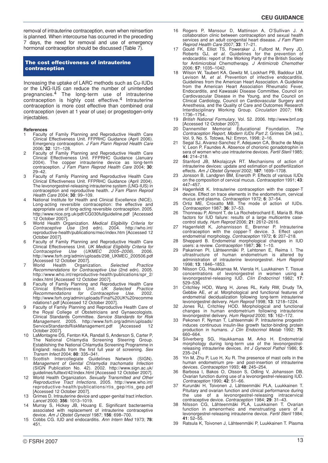removal of intrauterine contraception, even when reinsertion is planned. When intercourse has occurred in the preceding 7 days, the need for removal and use of emergency hormonal contraception should be discussed (Table 7).

#### **The cost effectiveness of intrauterine contraception**

Increasing the uptake of LARC methods such as Cu-IUDs or the LNG-IUS can reduce the number of unintended pregnancies.4 The long-term use of intrauterine contraception is highly cost effective.4 Intrauterine contraception is more cost effective than combined oral contraception (even at 1 year of use) or progestogen-only injectables.

#### **References**

- 1 Faculty of Family Planning and Reproductive Health Care Clinical Effectiveness Unit. FFPRHC Guidance (April 2006). Emergency contraception. *J Fam Plann Reprod Health Care* 2006; **32**: 121–128.
- 2 Faculty of Family Planning and Reproductive Health Care Clinical Effectiveness Unit. FFPRHC Guidance (January 2004). The copper intrauterine device as long-term contraception. *J Fam Plann Reprod Health Care* 2004; **30**: 29–42.
- 3 Faculty of Family Planning and Reproductive Health Care Clinical Effectiveness Unit. FFPRHC Guidance (April 2004). The levonorgestrel-releasing intrauterine system (LNG-IUS) in contraception and reproductive health. *J Fam Plann Reprod Health Care* 2004; **30**: 99–109.
- 4 National Institute for Health and Clinical Excellence (NICE). Long-acting reversible contraception: the effective and appropriate use of long-acting reversible contraception. 2005. http://www.nice.org.uk/pdf/CG030fullguideline.pdf [Accessed 12 October 2007].
- 5 World Health Organization. *Medical Eligibility Criteria for Contraceptive Use* (3rd edn). 2004. http://who.int/ reproductive-health/publications/mec/index.htm [Accessed 12 October 2007].
- 6 Faculty of Family Planning and Reproductive Health Care Clinical Effectiveness Unit. *UK Medical Eligibility Criteria for Contraceptive Use* (*UKMEC 2005–2006*). 2006. http://www.fsrh.org/admin/uploads/298\_UKMEC\_200506.pdf [Accessed 12 October 2007].
- 7 World Health Organization. *Selected Practice Recommendations for Contraceptive Use* (2nd edn). 2005. http://www.who.int/reproductive-health/publications/spr\_2/ index.html [Accessed 12 October 2007].
- 8 Faculty of Family Planning and Reproductive Health Care Clinical Effectiveness Unit. *UK Selected Practice Recommendations for Contraceptive Use.* 2002. http://www.fsrh.org/admin/uploads/Final%20UK%20recomme ndations1.pdf [Accessed 12 October 2007].
- Faculty of Family Planning and Reproductive Health Care of the Royal College of Obstetricians and Gynaecologists. Clinical Standards Committee. *Service Standards for Risk Management.* 2005. http://www.fsrh.org/admin/uploads/ ServiceStandardsRiskManagement.pdf [Accessed 12 October 2007].
- 10 LaMontagne DS, Fenton KA, Randall S, Anderson S, Carter P, The National Chlamydia Screening Steering Group. Establishing the National Chlamydia Screening Programme in England: results from the first full year of screening. *Sex Transm Infect* 2004; **80**: 335–341.
- 11 Scottish Intercollegiate Guidelines Network (SIGN). *Management of Genital Chlamydia trachomatis Infection* (SIGN Publication No. 42). 2002. http://www.sign.ac.uk/ guidelines/fulltext/42/index.html [Accessed 12 October 2007].
- 12 World Health Organization. *Sexually Transmitted and Other Reproductive Tract Infections.* 2005. http://www.who.int/ reproductive-health/publications/rtis\_gep/rtis\_gep.pdf [Accessed 12 October 2007].
- 13 Grimes D. Intrauterine device and upper-genital tract infection. *Lancet* 2000; **356**: 1013–1019.
- 14 Murray S, Hickey JB, Houang E. Significant bacteraemia associated with replacement of intrauterine contraceptive device. *Am J Obstet Gynecol* 1987; **156**: 698–700.
- 15 Cobbs CG. IUD and endocarditis. *Ann Intern Med* 1973; **78**: 451.
- 16 Rogers P, Mansour D, Mattinson A, O'Sullivan J. A collaboration clinic between contraception and sexual health services and an adult congenital heart disease. *J Fam Plann Reprod Health Care* 2007; **33**: 17–21.
- 17 Gould FK, Elliot TS, Foweraker J, Fulford M, Perry JD, Roberts GJ, *et al*. Guidelines for the prevention of endocarditis: report of the Working Party of the British Society for Antimicrobial Chemotherapy. *J Antimicrob Chemother* 2006; **57**: 1035–1042.
- Wilson W, Taubert KA, Gewitz M, Lockhart PB, Baddour LM, Levison M, *et al.* Prevention of infective endocarditis. Guidelines from the American Heart Association. A Guideline from the American Heart Association Rheumatic Fever, Endocarditis, and Kawasaki Disease Committee, Council on Cardiovascular Disease in the Young, and the Council on Clinical Cardiology, Council on Cardiovascular Surgery and Anesthesia, and the Quality of Care and Outcomes Research Interdisciplinary Working Group. *Circulation* 2007; **116**: 1736–1754..
- 19 *British National Formulary*, Vol. 52. 2006. http://www.bnf.org [Accessed 12 October 2007].
- 20 Dannemiller Memorial Educational Foundation. *The Contraception Report, Modern IUDs Part 2*, Grimes DA (ed.), Vol. 9, No. 5. Totowa, NJ: Emron, 1998; 2–16.
- 21 Segal SJ, Alvarez-Sanchez F, Adejuwon CA, Brache de Mejia V, Leon P, Faundes A. Absence of chorionic gonadotrophin in sera of women who use intrauterine devices. *Fertil Steril* 1985; **44**: 214–218.
- 22 Stanford JB, Mikolajczyk RT. Mechanisms of action of intrauterine devices: update and estimation of postfertilization effects. *Am J Obstet Gynecol* 2002; **187**: 1699–1708.
- 23 Jonsson B, Landgren BM, Eneroth P. Effects of various IUDs on the composition of cervical mucus. *Contraception* 1991; **43**: 447–457.
- 24 Hagenfeldt K. Intrauterine contraception with the copper-T device. Effect on trace elements in the endometrium, cervical mucus and plasma. *Contraception* 1972; **6**: 37–54.
- 25 Ortiz ME, Croxatto MB. The mode of action of IUDs. *Contraception* 1987; **36**: 37–53.
- 26 Thonneau P, Almont T, de La Rochebrochard E, Maria B. Risk factors for IUD failure: results of a large multicentre casecontrol study. *Hum Reprod* 2006; **21**: 2612–2616.
- 27 Hagenfeldt K, Johannisson E, Brenner P. Intrauterine contraception with the copper-T device. 3. Effect upon endometrial morphology. *Contraception* 1972; **6**: 207–218.
- 28 Sheppard B. Endometrial morphological changes in IUD users: a review. *Contraception* 1987; **36**: 1–10.
- 29 Pakarinen PI, Lähteenmäki P, Lehtonen E, Reima I. The ultrastructure of human endometrium is altered by administration of intrauterine levonorgestrel. *Hum Reprod* 1998; **13**: 1846–1853.
- 30 Nilsson CG, Haukkamaa M, Vierola H, Luukkainen T. Tissue concentrations of levonorgestrel in women using a levonorgestrel-releasing IUD. *Clin Endocrinol* 1982; **17**: 529–536.
- 31 Critchley HOD, Wang H, Jones RL, Kelly RW, Drudy TA, Gebbie AE, *et al.* Morphological and functional features of endometrial decidualization following long-term intrauterine levonorgestrel delivery. *Hum Reprod* 1998; **13**: 1218–1224.
- 32 Jones RJ, Critchley HOD. Morphological and functional changes in human endometrium following intrauterine levonorgestrel delivery. *Hum Reprod* 2000; **15**: 162–172.
- 33 Pekonen F, Nyman T, Lahteenmaki P. Intrauterine progestin induces continuous insulin-like growth factor-binding protein production in humans. *J Clin Endocrinol Metab* 1992; **75**: 660–664.
- 34 Silverberg SG, Haukkamaa M, Arko H. Endometrial morphology during long-term use of the levonorgestrelreleasing intrauterine devices. *Int J Gynecol Pathol* 1986; **5**: 235–241.
- 35 Yin M, Zhu P, Luo H, Xu R. The presence of mast cells in the human endometrium pre- and post-insertion of intrauterine devices. *Contraception* 1993; **48**: 245–254.
- 36 Barbosa I, Bakos O, Olsson S, Odling V, Johansson DB. Ovarian function during use of a levonorgestrel-releasing IUD. *Contraception* 1990; **42**: 51–66.
- 37 Kurunäki H, Toivonen J, Lähteenmäki PLA, Luukkainen T. Pituitary and ovarian function and clinical performance during the use of a levonorgestrel-releasing intracervical contraceptive device. *Contraception* 1984; **29**: 31–43.
- 38 Nilsson CG, Lähteenmäki PLA, Luukkainen T. Ovarian function in amenorrheic and menstruating users of a levonorgestrel-releasing intrauterine device. *Fertil Steril* 1984; **41**: 52–55.
- 39 Ratsula K, Toivonen J, Lähteenmäki P, Luukkainen T. Plasma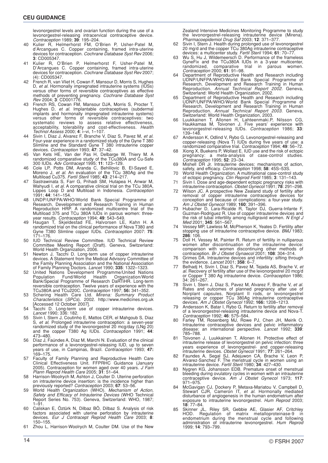levonorgestrel levels and ovarian function during the use of a levonorgestrel-releasing intracervical contraceptive device. *Contraception* 1989; **39**: 195–204.

- 40 Kulier R, Helmerhorst FM, O'Brien P, Usher-Patel M, d'Arcangues C. Copper containing, framed intra-uterine devices for contraception. *Cochrane Database Syst Rev* 2006; **3**: CD005347.
- 41 Kulier R, O'Brien P, Helmerhorst F, Usher-Patel M, D'Arcangues C. Copper containing, framed intra-uterine devices for contraception. *Cochrane Database Syst Rev* 2007; (4): CD005347.
- 42 French R, van Vliet H, Cowan F, Mansour D, Morris S, Hughes D, *et al.* Hormonally impregnated intrauterine systems (IUSs) versus other forms of reversible contraceptives as effective methods of preventing pregnancy. *Cochrane Database Syst Rev* 2004; **3**: CD001776.
- 43 French RS, Cowan FM, Mansour DJA, Morris S, Procter T Hughes D, *et al*. Implantable contraceptives (subdermal implants and hormonally impregnated intrauterine systems) versus other forms of reversible contraceptives: two systematic reviews to assess relative effectiveness, acceptability, tolerability and cost-effectiveness. *Health Technol Assess* 2000; **4**: i–vi, 1–107.
- 44 Sivin I, Diaz J, Alvarez F, Branche V, Diaz S, Pavez M, *et al*. Four-year experience in a randomized study of the Gyne T 380 Slimline and the Standard Gyne T 380 intrauterine copper devices. *Contraception* 1993; **47**: 37–42.
- 45 Van Kets HE, Van der Pas H, Delbarge W, Thiery M. A randomized comparative study of the TCu380A and Cu-Safe 300 IUDs. *Adv Contracept* 1995; **11**: 123–129.
- 46 Cole LP, Potts DM, Aranda C, Behlilovic B, El-Sayed E, Moreno J, *et al*. An evaluation of the TCu 380Ag and the Multiload Cu375. *Fertil Steril* 1985; **43**: 214–217.
- 47 Sastrawinata S, Farr G, Prihadi SM, Hutapea H, Anwar M, Wahyudi I, *et al.* A comparative clinical trial on the TCu 380A, Lippes Loop D and Multiload in Indonesia. *Contraception* 1991; **44**: 141–154.
- 48 UNDP/UNFPA/WHO/World Bank Special Programme of Research, Development and Research Training in Human Reproduction HRP. A randomized multicentre trial of the Multiload 375 and TCu 380A IUDs in parous women: threeyear results. *Contraception* 1994; **49**: 543–549.
- 49 Haugan T, Skjeldestad FE, Halvorsen LE, Kahn H. A randomized trial on the clinical performance of Nova T380 and Gyne T380 Slimline copper IUDs. *Contraception* 2007: **75**: 171–176.
- 50 IUD Technical Review Committee. IUD Technical Review Committee Meeting Report (Draft). Geneva, Switzerland: World Health Organization, 2006.
- 51 Newton J, Tacchi D. Long-term use of copper intrauterine devices. A Statement from the Medical Advisory Committee of the Family Planning Association and the National Association of Family Planning Doctors. *Lancet* 1990; **335**: 1322–1323.
- 52 United Nations Development Programme/United Nations Population Fund/World Health Organization/World Bank/Special Programme of Research DaRTiHR. Long-term reversible contraception. Twelve years of experience with the TCu380A and TCu220C. *Contraception* 1997; **56:** 341–352.
- 53 Schering Health Care Ltd. *Mirena: Summary Product Characteristics* (*SPCs*). 2002. http://www.medicines.org.uk [Accessed 12 October 2007].
- 54 Tacchi D. Long-term use of copper intrauterine devices. *Lancet* 1990; 336: 182.
- 55 Sivin I, Stern J, Coutinho E, Mattos CER, el Mahgoub S, Diaz S, *et al*. Prolonged intrauterine contraception: a seven-year randomized study of the levonorgestrel 20 mcg/day (LNg 20) and the copper T380 Ag IUDs. *Contraception* 1991; **44**: 473–480.
- 56 Díaz J, Faúndes A, Díaz M, Marchi N. Evaluation of the clinical performance of a levonorgestrel-releasing IUD, up to seven years of use, in Campinas, Brazil. *Contraception* 1993; **47:** 169–175.
- 57 Faculty of Family Planning and Reproductive Health Care Clinical Effectiveness Unit. FFPRHC Guidance (January 2005). Contraception for women aged over 40 years. *J Fam Plann Reprod Health Care* 2005; **31**: 51–64.
- 58 Harrison-Woolrych M, Ashton J, Coulter D. Uterine perforation on intrauterine device insertion: is the incidence higher than previously reported? *Contraception* 2003; **67**: 53–56.
- 59 World Health Organization (WHO). *Mechanism of Action, Safety and Efficacy of Intrauterine Devices* (WHO Technical Report Series No. 753). Geneva, Switzerland: WHO, 1987; 1–91.
- 60 Caliskan E, Öztürk N, Dilbaz BÖ, Dilbaz S. Analysis of risk factors associated with uterine perforation by intrauterine devices. *Eur J Contracept Reprod Health Care* 2003; **8**: 150–155.
- 61 Zhou L, Harrison-Woolrych M, Coulter DM. Use of the New

Zealand Intensive Medicines Monitoring Programme to study the levonorgestrel-releasing intrauterine device (Mirena). *Pharmacoepidemiol Drug Saf* 2003; **12**: 371–377.

- 62 Sivin I, Stern J. Health during prolonged use of levonorgestrel 20 mg/d and the copper TCu 380Ag intrauterine contraceptive devices: a multicenter study. *Fertil Steril* 1994; **61**: 70–77.
- 63 Wu S, Hu J, Wildemeersch D. Performance of the frameless GyneFix and the TCu380A IUDs in a 3-year multicenter, randomized, comparative trial in parous women. randomized, comparative trial in parous women. *Contraception* 2000; **61**: 91–98.
- 64 Department of Reproductive Health and Research including UDNP/UNFPA/WHO/World Bank Special Programme of Research, Development and Research Training in Human Reproduction. *Annual Technical Report 2002*. Geneva, Switzerland: World Health Organization, 2002.
- 65 Department of Reproductive Health and Research including UDNP/UNFPA/WHO/World Bank Special Programme of Research, Development and Research Training in Human Reproduction. *Annual Technical Report 2003*. Geneva, Switzerland: World Health Organization, 2003.
- 66 Luukkainen T, Allonen H, Lahteenmaki.P, Nilsson CG, Haukkamaa M, Toivonen J. Five years' experience with levonorgestrel-releasing IUDs. *Contraception* 1986; **33**: 139–148.
- 67 Andersson K, Odlind V, Rybo G. Levonorgestrel-releasing and copper-releasing (Nova T) IUDs during five years of use: a randomized comparative trial. *Contraception* 1994; **49**: 56–72.
- Xiong X, Buekens P, Wollast E. IUD use and the risk of ectopic pregnancy: a meta-analysis of case-control studies. *Contraception* 1995; **52**: 23–34.
- 69 Mishell DR Jr. Intrauterine devices: mechanisms of action, safety, and efficacy. *Contraception* 1998; **58**: 45S–53S.
- 70 World Health Organization. A multinational case-control study of ectopic pregnancy. *Clin Reprod Fertil* 1985; **3**: 131–143.
- 71 Sivin I. Dose and age-dependent ectopic pregnancy risks with intrauterine contraception. *Obstet Gynecol* 1991; **78**: 291–298.
- 72 Wilson JC. A prospective New Zealand study of fertility after removal of copper intrauterine contraceptive devices for conception and because of complications: a four-year study. *Am J Obstet Gynecol* 1989; **160**: 391–396.
- 73 Hubacher D, Lara-Ricalde R, Taylor DJ, Guerra-Infante F, Guzman-Rodriguez R. Use of copper intrauterine devices and the risk of tubal infertility among nulligravid women. *N Engl J Med* 2001; **345**: 561–567.
- Wessey MP, Lawless M, McPherson K, Yeates D. Fertility after stopping use of intrauterine contraceptive device. *BMJ* 1983; **286**: 106.
- 75 Doll H, Vessey M, Painter R. Return of fertility in nulliparous women after discontinuation of the intrauterine device: comparison with women discontinuing other methods of contraception. *Br J Obstet Gynaecol* 2001; **108**: 304–314.
- 76 Grimes DA. Intrauterine devices and infertility: sifting through the evidence. *Lancet* 2001; **358**: 6–7.
- 77 Belhadj H, Sivin I, Diaz S, Pavez M, Tejada AS, Brache V, *et al.* Recovery of fertility after use of the levonorgestrel 20 mcg/d or Copper T 380 Ag intrauterine device. *Contraception* 1986; 34: 261–267.
- 78 Sivin I, Stern J, Diaz S, Pavez M, Alvarez F, Brache V, *et al*. Rates and outcomes of planned pregnancy after use of Norplant capsules, Norplant II rods, or levonorgestrel releasing or copper TCu 380Ag intrauterine contraceptive devices. *Am J Obstet Gynecol* 1992; **166:** 1208–1213.
- Andersson K, Batar I, Rybo G. Return to fertility after removal of a levonorgestrel-releasing intrauterine device and Nova-T. *Contraception* 1992; **46**: 575–584.
- 80 Farley TM, Rosenberg MJ, Rowe PJ, Chen JH, Meirik O. Intrauterine contraceptive devices and pelvic inflammatory disease: an international perspective. *Lancet* 1992; **339**: 785–788.
- 81 Toivonen J, Luukkainen T, Allonen H. Protective effect of intrauterine release of levonorgestrel on pelvic infection: three years experience of levonorgestrel- and copper-releasing intrauterine devices. *Obstet Gynecol* 1991; **77**: 261–264.
- 82 Faundes A, Segal SJ, Adejuwon CA, Brache V, Leon P, Alvarez-Sanchez F. The menstrual cycle in women using an intrauterine device. *Fertil Steril* 1980; **34**: 427–430.
- 83 Nygren KG, Johansson EDB. Premature onset of menstrual bleeding during ovulatory cycles in women with an intrauterine contraceptive device. *Am J Obstet Gynecol* 1973; **117**: 971–975.
- 84 McGavigan CJ, Dockery P, Metaxa-Mariatou V, Campbell D, Stewart CJR, Cameron IT, *et al*. Hormonally mediated disturbance of angiogenesis in the human endometrium after exposure to intrauterine levonorgestrel. *Hum Reprod* 2003; **18**: 77–84.
- 85 Skinner JL, Riley SR, Gebbie AE, Glasier AF, Critchley HOD. Regulation of matrix metalloproteinase-9 in endometrium during the menstrual cycle and following administration of intrauterine levonorgestrel. *Hum Reprod* 1999; **14**: 793–799.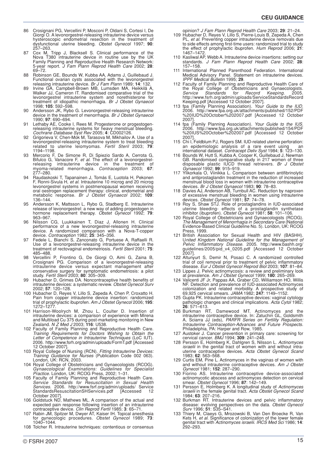- 86 Crosignani PG, Vercellini P, Mosconi P, Oldani S, Cortesi I, De Giorgi O. A levonorgestrel-releasing intrauterine device versus hysteroscopic endometrial resection in the treatment of dysfunctional uterine bleeding. *Obstet Gynecol* 1997; **90**: 257–263.
- 87 Cox M, Tripp J, Blacksell S. Clinical performance of the Nova T380 intrauterine device in routine use by the UK Family Planning and Reproductive Health Research Network: 5-year report. *J Fam Plann Reprod Health Care* 2002; **28**: 69–72.
- 88 Robinson GE, Bounds W, Kubba AA, Adams J, Guillebaud J. Functional ovarian cysts associated with the levonorgestrel releasing intrauterine device. *Br J Fam Plann* 1989; **14**: 132.
- 89 Irvine GA, Campbell-Brown MB, Lumsden MA, Heikkilä A, Walker JJ, Cameron IT. Randomised comparative trial of the levonorgestrel intrauterine system and norethisterone for treatment of idiopathic menorrhagia. *Br J Obstet Gynaecol* 1998; **105**: 592–598.
- 90 Andersson JK, Rybo G. Levonorgestrel-releasing intrauterine device in the treatment of menorrhagia. *Br J Obstet Gynaecol* 1990; **97**: 690–694.
- 91 Lethaby AE, Cooke I, Rees M. Progesterone or progestogenreleasing intrauterine systems for heavy menstrual bleeding. *Cochrane Database Syst Rev* 2005; **4**: CD002126.
- 92 Grigorieva V, Chen-Mok M, Tarasova M, Mikhailov A. Use of a levonorgestrel-releasing intrauterine system to treat bleeding related to uterine leiomyomas. *Fertil Steril* 2003; **79**: 1194–1198.
- 93 Mercorio F, De Simone R, Di Spiezio Sardo A, Cerrota G, Bifulco G, Vanacore F, *et al.* The effect of a levonorgestrelreleasing intrauterine device in the treatment of myoma-related menorrhagia. *Contraception* 2003; **67**: 277–280.
- 94 Raudaskoski T, Tapanainen J, Tomás E, Luotola H, Pekonen F, Ronni-Sivula H, *et al.* Intrauterine 10 microg and 20 microg levonorgestrel systems in postmenopausal women receiving oral oestrogen replacement therapy: clinical, endometrial and metabolic response. *Br J Obstet Gynaecol* 2002; **109**: 136–144.
- 95 Andersson K, Mattsson L, Rybo G, Stadberg E. Intrauterine release of levonorgestrel: a new way of adding progestogen in hormone replacement therapy. *Obstet Gynecol* 1992; **79**: 963–967.
- 96 Nilsson CG, Luukkainen T, Diaz J, Allonen H. Clinical performance of a new levonorgestrel-releasing intrauterine device. A randomized comparison with a Nova-T-copper device. *Contraception* 1982; **25**: 345–356.
- 97 Fedele L, Bianchi S, Zanconato G, Portuese A, Raffaelli R. Use of a levonorgestrel-releasing intrauterine device in the treatment of rectovaginal endometriosis. *Fertil Steril* 2001; **75**: 485–488.
- Vercellini P, Frontino G, De Giorgi O, Aimi G, Zaina B, Crosignani PG. Comparison of a levonorgestrel-releasing intrauterine device versus expectant management after conservative surgery for symptomatic endometriosis: a pilot study. *Fertil Steril* 2003; **80**: 305–309.
- 99 Hubacher D, Grimes DA. Noncontraceptive health benefits of intrauterine devices: a systematic review. *Obstet Gynecol Surv* 2002; **57**: 120–128.
- 100 Hubacher D, Reyes V, Lillo S, Zepeda A, Chen P, Croxatto H. Pain from copper intrauterine device insertion: randomized trial of prophylactic ibuprofen. *Am J Obstet Gynecol* 2006; **195**: 1272–1277.
- 101 Harrison-Woolrych M, Zhou L, Coulter D. Insertion of intrauterine devices: a comparison of experience with Mirena and Multiload Cu 375 during post-marketing monitoring in New Zealand. *N Z Med J* 2003; **116**: U538.
- 102 Faculty of Family Planning and Reproductive Health Care. *Training Requirements for Doctors Wishing to Obtain the Letter of Competence in Intrauterine Techniques* (LoC IUT). 2006. http://www.fsrh.org/admin/uploads/FormT.pdf [Accessed 12 October 2007].
- 103 Royal College of Nursing (RCN). *Fitting Intrauterine Devices: Training Guidance for Nurses* (Publication Code 002 063). London, UK: RCN, 2003.
- 104 Royal College of Obstetricians and Gynaecologists (RCOG). *Gynaecological Examinations: Guidelines for Specialist Practice*. London, UK: RCOG Press, 2002; 1–31.
- 105 Faculty of Family Planning and Reproductive Health Care. *Service Standards for Resuscitation in Sexual Health Services.* 2006. http://www.fsrf.org/admin/uploads/ Service StandardsResuscitationSHServices.pdf [Accessed 12 October 2007].
- 106 Goldstuck ND, Mathews ML. A comparison of the actual and expected pain response following insertion of an intrauterine contraceptive device. *Clin Reprod Fertil* 1985; **3**: 65–71.
- 107 Rabin JM, Spitzer M, Dwyer AT, Kaiser IH. Topical anesthesia for gynecologic procedures. *Obstet Gynecol* 1989; **73**: 1040–1044.
- 108 Tolcher R. Intrauterine techniques: contentious or consensus

opinion? *J Fam Plann Reprod Health Care* 2003; **29**: 21–24. 109 Hubacher D, Reyes V, Lillo S, Pierre-Louis B, Zepeda A, Chen

- PL, *et al*. Preventing copper intrauterine device removals due to side effects among first-time users: randomized trial to study the effect of prophylactic ibuprofen. *Hum Reprod* 2006; **21**: 1467–1472.
- 110 Kasliwal AP, Webb A. Intrauterine device insertions: setting our standards. *J Fam Plann Reprod Health Care* 2002; **28**: 157–158.
- 111 International Planned Parenthood Federation. International Medical Advisory Panel. Statement on intrauterine devices. *IPPF Medical Bulletin* 1995; **29**.
- 112 Faculty of Family Planning and Reproductive Health Care of the Royal College of Obstetricians and Gynaecologists. *Service Standards for Record Keeping.* 2005. http://www.fsrh.org/admin/uploads/ServiceStandardsRecord Keeping.pdf [Accessed 12 October 2007].
- 113 fpa (Family Planning Association). *Your Guide to the IUD*. 2006. http://www.fpa.org.uk/attachments/published/152/PDF %20IUD%20October%202007.pdf [Accessed 12 October 2007].
- 114 fpa (Family Planning Association). *Your Guide to the IUS.* 2006. http://www.fpa.org.uk/attachments/published/154/PDF %20IUS%20October%202007.pdf [Accessed 12 October 2007].
- 115 Chi I, Feldblum PJ, Rogers SM. IUD-related uterine perforation: an epidemiologic analysis of a rare event using an international dataset. *Contracept Deliv Syst* 1984; **5**: 123–130.
- 116 Bounds W, Hutt S, Kubba A, Cooper K, Guillebaud J, Newman GB. Randomised comparative study in 217 women of three disposable plastic IUCD thread retrievers. *Br J Obstet Gynaecol* 1992; **99**: 915–919.
- 117 Ylikorkala O, Viinikka L. Comparison between antifibrinolytic and antiprostaglandin treatment in the reduction of increased menstrual blood loss in women with intrauterine contraceptive devices. *Br J Obstet Gynaecol* 1983; **90**: 78–83.
- 118 Davies AJ, Anderson AB, Turnbull AC. Reduction by naproxen of excessive menstrual bleeding in women using intrauterine devices. *Obstet Gynecol* 1981; **57**: 74–78.
- 119 Roy S, Shaw STJ. Role of prostaglandins in IUD-associated uterine bleeding- effects of a prostaglandin synthetase inhibitor (ibuprofen). *Obstet Gynecol* 1981; **58**: 101–106.
- 120 Royal College of Obstetricians and Gynaecologists (RCOG). *The Management of Menorrhagia in Secondary Care* (National Evidence-Based Clinical Guideline No. 5). London, UK: RCOG Press, 1999.
- 121 British Association for Sexual Health and HIV (BASHH). U*nited Kingdom National Guideline for the Management of Pelvic Inflammatory Disease.* 2005. http://www.bashh.org/ guidelines/2005/pid\_v4\_0205.pdf [Accessed 12 October 2007].
- 122 Altunyurt S, Demir N, Posaci C. A randomized controlled trial of coil removal prior to treatment of pelvic inflammatory disease. *Eur J Obstet Gynecol Reprod Biol* 2003; **107**: 81–84.
- 123 Lippes J. Pelvic actinomycosis: a review and preliminary look at prevalence. *Am J Obstet Gynecol* 1999; **180**: 265–269.
- 124 Valicenti JF Jr, Pappas AA, Graber CD, Williamson HO, Willis NF. Detection and prevalence of IUD-associated Actinomyces colonization and related morbidity. A prospective study of 69,925 cervical smears. *JAMA* 1982; **247**: 1149–1152.
- 125 Gupta PK. Intrauterine contraceptive devices: vaginal cytology pathologic changes and clinical implications. *Acta Cytol* 1982; **26**: 571–613.
- 126 Burkman RT, Damewood MT. Actinomyces and the intrauterine contraceptive device. In: Zatuchin GL, Goldsmith A, Sciarra JJ (eds), *PARFR Series on Fertility Regulation: Intrauterine Contraception-Advances and Future Prospects.* Philadelphia, PA: Harper and Row, 1985.
- 127 Austoker J. Cancer prevention in primary care: screening for cervical cancer. *BMJ* 1994; **309**: 241–248.
- 128 Persson E, Holmberg K, Dahlgren S, Nilsson L. *Actinomyces israelii* in the genital tract of women with and without intrauterine contraceptive devices. *Acta Obstet Gynecol Scand* 1983; **62**: 563–568.
- 129 Curtis EM, Pine L. Actinomyces in the vaginas of women with and without intrauterine contraceptive devices. *Am J Obstet Gynecol* 1981; **152**: 287–290.
- 130 Fiorino AS. Intrauterine contraceptive device-associated actinomycotic abscess and actinomyces detection on cervical smear. *Obstet Gynecol* 1996; **87**: 142–149.
- 131 Persson E, Holmberg K. A longitudinal study of *Actinomyces israelii* in the female genital tract. *Acta Obstet Gynecol Scand* 1984; **63**: 207–216.
- 132 Burkman RT. Intrauterine devices and pelvic inflammatory disease: evolving perspectives on the data. *Obstet Gynecol Surv* 1996; **51**: S35–S41.
- 133 Thiery M, Claeys G, Mrozowski B, Van Den Broecke R, Van Kets H, *et al.* Significance of colonization of the lower female genital tract with *Actinomyces israelii*. *IRCS Med Sci* 1986; **14**: 292–293.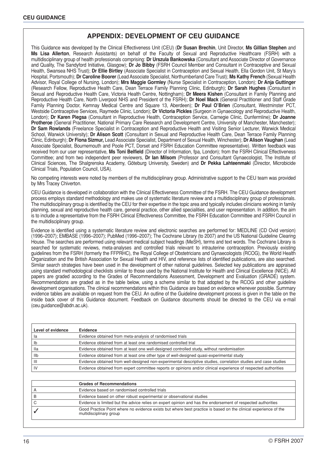### **APPENDIX: DEVELOPMENT OF CEU GUIDANCE**

This Guidance was developed by the Clinical Effectiveness Unit (CEU) (**Dr Susan Brechin**, Unit Director, **Ms Gillian Stephen** and **Ms Lisa Allerton**, Research Assistants) on behalf of the Faculty of Sexual and Reproductive Healthcare (FSRH) with a multidisciplinary group of health professionals comprising: **Dr Urszula Bankowska** (Consultant and Associate Director of Governance and Quality, The Sandyford Initiative, Glasgow); **Dr Jo Bibby** (FSRH Council Member and Consultant in Contraceptive and Sexual Health, Swansea NHS Trust); **Dr Ellie Birtley** (Associate Specialist in Contraception and Sexual Health, Ella Gordon Unit, St Mary's Hospital, Portsmouth); **Dr Caroline Boorer** (Lead Associate Specialist, Northumberland Care Trust); **Ms Kathy French** (Sexual Health Advisor, Royal College of Nursing, London); **Mrs Maggie Gormley** (Nurse Specialist in Contraception, London); **Dr Anja Guttinger** (Research Fellow, Reproductive Health Care, Dean Terrace Family Planning Clinic, Edinburgh); **Dr Sarah Hughes** (Consultant in Sexual and Reproductive Health Care, Victoria Health Centre, Nottingham); **Dr Meera Kishen** (Consultant in Family Planning and Reproductive Health Care, North Liverpool NHS and President of the FSRH); **Dr Noel Mack** (General Practitioner and Staff Grade Family Planning Doctor, Kemnay Medical Centre and Square 13, Aberdeen); **Dr Paul O'Brien** (Consultant, Westminster PCT, Westside Contraceptive Services, Raymede Clinic, London); **Dr Victoria Pickles** (Surgeon in Gynaecology and Reproductive Health, London); **Dr Karen Piegsa** (Consultant in Reproductive Health, Contraception Service, Carnegie Clinic, Dunfermline); **Dr Joanne Protheroe** (General Practitioner, National Primary Care Research and Development Centre, University of Manchester, Manchester); **Dr Sam Rowlands** (Freelance Specialist in Contraception and Reproductive Health and Visiting Senior Lecturer, Warwick Medical School, Warwick University); **Dr Alison Scott** (Consultant in Sexual and Reproductive Health Care, Dean Terrace Family Planning Clinic, Edinburgh); **Dr Fiona Sizmur,** Lead Associate Specialist, Department of Sexual Health, Winchester); **Dr Alison Vaughan** (Lead Associate Specialist, Bournemouth and Poole PCT, Dorset and FSRH Education Committee representative). Written feedback was received from our user representative, **Ms Toni Belfield** (Director of Information, fpa, London); from the FSRH Clinical Effectiveness Committee; and from two independent peer reviewers, **Dr Ian Milsom** (Professor and Consultant Gynaecologist, The Institute of Clinical Sciences, The Shalgrenska Academy, Göteburg University, Sweden) and **Dr Pekka Lahteenmaki** (Director, Microbicide Clinical Trials, Population Council, USA).

No competing interests were noted by members of the multidisciplinary group. Administrative support to the CEU team was provided by Mrs Tracey Chiverton.

CEU Guidance is developed in collaboration with the Clinical Effectiveness Committee of the FSRH. The CEU Guidance development process employs standard methodology and makes use of systematic literature review and a multidisciplinary group of professionals. The multidisciplinary group is identified by the CEU for their expertise in the topic area and typically includes clinicians working in family planning, sexual and reproductive health care, general practice, other allied specialities, and user representation. In addition, the aim is to include a representative from the FSRH Clinical Effectiveness Committee, the FSRH Education Committee and FSRH Council in the multidisciplinary group.

Evidence is identified using a systematic literature review and electronic searches are performed for: MEDLINE (CD Ovid version) (1996–2007); EMBASE (1996–2007); PubMed (1996–2007); The Cochrane Library (to 2007) and the US National Guideline Clearing House. The searches are performed using relevant medical subject headings (MeSH), terms and text words. The Cochrane Library is searched for systematic reviews, meta-analyses and controlled trials relevant to intrauterine contraception. Previously existing guidelines from the FSRH (formerly the FFPRHC), the Royal College of Obstetricians and Gynaecologists (RCOG), the World Health Organization and the British Association for Sexual Health and HIV, and reference lists of identified publications, are also searched. Similar search strategies have been used in the development of other national guidelines. Selected key publications are appraised using standard methodological checklists similar to those used by the National Institute for Health and Clinical Excellence (NICE). All papers are graded according to the Grades of Recommendations Assessment, Development and Evaluation (GRADE) system. Recommendations are graded as in the table below, using a scheme similar to that adopted by the RCOG and other guideline development organisations. The clinical recommendations within this Guidance are based on evidence whenever possible. Summary evidence tables are available on request from the CEU. An outline of the Guideline development process is given in the table on the inside back cover of this Guidance document. Feedback on Guidance documents should be directed to the CEU via e-mail (ceu.guidance@abdn.ac.uk).

| Level of evidence | <b>Evidence</b>                                                                                                 |  |
|-------------------|-----------------------------------------------------------------------------------------------------------------|--|
| la                | Evidence obtained from meta-analysis of randomised trials                                                       |  |
| Ib                | Evidence obtained from at least one randomised controlled trial                                                 |  |
| Ila               | Evidence obtained from at least one well-designed controlled study, without randomisation                       |  |
| Ilb               | Evidence obtained from at least one other type of well-designed quasi-experimental study                        |  |
| Ш                 | Evidence obtained from well-designed non-experimental descriptive studies, correlation studies and case studies |  |
| IV                | Evidence obtained from expert committee reports or opinions and/or clinical experience of respected authorities |  |

|   | <b>Grades of Recommendations</b>                                                                                                           |  |
|---|--------------------------------------------------------------------------------------------------------------------------------------------|--|
|   | Evidence based on randomised controlled trials                                                                                             |  |
| в | Evidence based on other robust experimental or observational studies                                                                       |  |
|   | Evidence is limited but the advice relies on expert opinion and has the endorsement of respected authorities                               |  |
|   | Good Practice Point where no evidence exists but where best practice is based on the clinical experience of the<br>multidisciplinary group |  |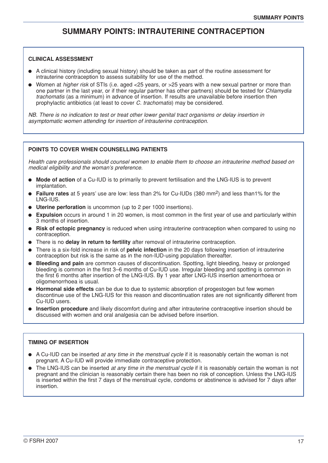## **SUMMARY POINTS: INTRAUTERINE CONTRACEPTION**

#### **CLINICAL ASSESSMENT**

- A clinical history (including sexual history) should be taken as part of the routine assessment for intrauterine contraception to assess suitability for use of the method.
- Women at *higher risk* of STIs (i.e. aged <25 years, or >25 years with a new sexual partner or more than one partner in the last year, or if their regular partner has other partners) should be tested for *Chlamydia trachomatis* (as a minimum) in advance of insertion. If results are unavailable before insertion then prophylactic antibiotics (at least to cover *C. trachomatis*) may be considered.

*NB. There is no indication to test or treat other lower genital tract organisms or delay insertion in asymptomatic women attending for insertion of intrauterine contraception.*

#### **POINTS TO COVER WHEN COUNSELLING PATIENTS**

*Health care professionals should counsel women to enable them to choose an intrauterine method based on medical eligibility and the woman's preference.*

- **Mode of action** of a Cu-IUD is to primarily to prevent fertilisation and the LNG-IUS is to prevent implantation.
- **Failure rates** at 5 years' use are low: less than 2% for Cu-IUDs (380 mm2) and less than1% for the LNG-IUS.
- **Uterine perforation** is uncommon (up to 2 per 1000 insertions).
- **Expulsion** occurs in around 1 in 20 women, is most common in the first year of use and particularly within 3 months of insertion.
- **Risk of ectopic pregnancy** is reduced when using intrauterine contraception when compared to using no contraception.
- There is no **delay in return to fertility** after removal of intrauterine contraception.
- There is a six-fold increase in risk of **pelvic infection** in the 20 days following insertion of intrauterine contraception but risk is the same as in the non-IUD-using population thereafter.
- **Bleeding and pain** are common causes of discontinuation. Spotting, light bleeding, heavy or prolonged bleeding is common in the first 3–6 months of Cu-IUD use. Irregular bleeding and spotting is common in the first 6 months after insertion of the LNG-IUS. By 1 year after LNG-IUS insertion amenorrhoea or oligomenorrhoea is usual.
- **Hormonal side effects** can be due to due to systemic absorption of progestogen but few women discontinue use of the LNG-IUS for this reason and discontinuation rates are not significantly different from Cu-IUD users.
- **Insertion procedure** and likely discomfort during and after intrauterine contraceptive insertion should be discussed with women and oral analgesia can be advised before insertion.

#### **TIMING OF INSERTION**

- A Cu-IUD can be inserted *at any time in the menstrual cycle* if it is reasonably certain the woman is not pregnant. A Cu-IUD will provide immediate contraceptive protection.
- The LNG-IUS can be inserted *at any time in the menstrual cycle* if it is reasonably certain the woman is not pregnant and the clinician is reasonably certain there has been no risk of conception. Unless the LNG-IUS is inserted within the first 7 days of the menstrual cycle, condoms or abstinence is advised for 7 days after insertion.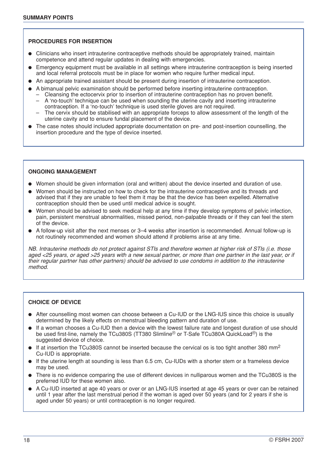#### **PROCEDURES FOR INSERTION**

- Clinicians who insert intrauterine contraceptive methods should be appropriately trained, maintain competence and attend regular updates in dealing with emergencies.
- Emergency equipment must be available in all settings where intrauterine contraception is being inserted and local referral protocols must be in place for women who require further medical input.
- An appropriate trained assistant should be present during insertion of intrauterine contraception.
- A bimanual pelvic examination should be performed before inserting intrauterine contraception.
	- Cleansing the ectocervix prior to insertion of intrauterine contraception has no proven benefit.
	- A 'no-touch' technique can be used when sounding the uterine cavity and inserting intrauterine contraception. If a 'no-touch' technique is used sterile gloves are not required.
	- The cervix should be stabilised with an appropriate forceps to allow assessment of the length of the uterine cavity and to ensure fundal placement of the device.
- The case notes should included appropriate documentation on pre- and post-insertion counselling, the insertion procedure and the type of device inserted.

#### **ONGOING MANAGEMENT**

- Women should be given information (oral and written) about the device inserted and duration of use.
- Women should be instructed on how to check for the intrauterine contraceptive and its threads and advised that if they are unable to feel them it may be that the device has been expelled. Alternative contraception should then be used until medical advice is sought.
- Women should be advised to seek medical help at any time if they develop symptoms of pelvic infection, pain, persistent menstrual abnormalities, missed period, non-palpable threads or if they can feel the stem of the device.
- A follow-up visit after the next menses or 3–4 weeks after insertion is recommended. Annual follow-up is not routinely recommended and women should attend if problems arise at any time.

*NB. Intrauterine methods do not protect against STIs and therefore women at higher risk of STIs (i.e. those aged <25 years, or aged >25 years with a new sexual partner, or more than one partner in the last year, or if their regular partner has other partners) should be advised to use condoms in addition to the intrauterine method.*

#### **CHOICE OF DEVICE**

- After counselling most women can choose between a Cu-IUD or the LNG-IUS since this choice is usually determined by the likely effects on menstrual bleeding pattern and duration of use.
- If a woman chooses a Cu-IUD then a device with the lowest failure rate and longest duration of use should be used first-line, namely the TCu380S (TT380 Slimline® or T-Safe TCu380A QuickLoad®) is the suggested device of choice.
- $\bullet$  If at insertion the TCu380S cannot be inserted because the cervical os is too tight another 380 mm<sup>2</sup> Cu-IUD is appropriate.
- If the uterine length at sounding is less than 6.5 cm, Cu-IUDs with a shorter stem or a frameless device may be used.
- There is no evidence comparing the use of different devices in nulliparous women and the TCu380S is the preferred IUD for these women also.
- A Cu-IUD inserted at age 40 years or over or an LNG-IUS inserted at age 45 years or over can be retained until 1 year after the last menstrual period if the woman is aged over 50 years (and for 2 years if she is aged under 50 years) or until contraception is no longer required.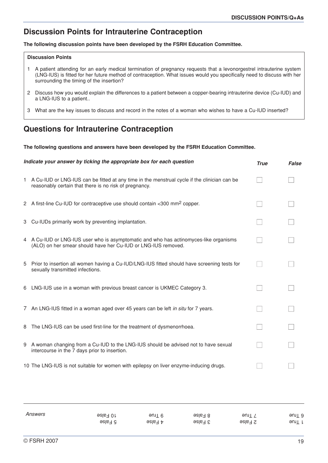## **Discussion Points for Intrauterine Contraception**

**The following discussion points have been developed by the FSRH Education Committee.**

#### **Discussion Points**

- 1 A patient attending for an early medical termination of pregnancy requests that a levonorgestrel intrauterine system (LNG-IUS) is fitted for her future method of contraception. What issues would you specifically need to discuss with her surrounding the timing of the insertion?
- 2 Discuss how you would explain the differences to a patient between a copper-bearing intrauterine device (Cu-IUD) and a LNG-IUS to a patient..
- 3 What are the key issues to discuss and record in the notes of a woman who wishes to have a Cu-IUD inserted?

## **Questions for Intrauterine Contraception**

**The following questions and answers have been developed by the FSRH Education Committee.**

|   | Indicate your answer by ticking the appropriate box for each question                                                                                    | <b>True</b> | <b>False</b> |
|---|----------------------------------------------------------------------------------------------------------------------------------------------------------|-------------|--------------|
|   | 1 A Cu-IUD or LNG-IUS can be fitted at any time in the menstrual cycle if the clinician can be<br>reasonably certain that there is no risk of pregnancy. |             |              |
|   | 2 A first-line Cu-IUD for contraceptive use should contain <300 mm <sup>2</sup> copper.                                                                  |             |              |
| 3 | Cu-IUDs primarily work by preventing implantation.                                                                                                       |             |              |
|   | 4 A Cu-IUD or LNG-IUS user who is asymptomatic and who has actinomyces-like organisms<br>(ALO) on her smear should have her Cu-IUD or LNG-IUS removed.   |             |              |
| 5 | Prior to insertion all women having a Cu-IUD/LNG-IUS fitted should have screening tests for<br>sexually transmitted infections.                          |             |              |
| 6 | LNG-IUS use in a woman with previous breast cancer is UKMEC Category 3.                                                                                  |             |              |
|   | 7 An LNG-IUS fitted in a woman aged over 45 years can be left in situ for 7 years.                                                                       |             |              |
| 8 | The LNG-IUS can be used first-line for the treatment of dysmenorrhoea.                                                                                   |             |              |
| 9 | A woman changing from a Cu-IUD to the LNG-IUS should be advised not to have sexual<br>intercourse in the 7 days prior to insertion.                      |             |              |
|   | 10 The LNG-IUS is not suitable for women with epilepsy on liver enzyme-inducing drugs.                                                                   |             |              |

| Answers | $9$ sla $-10$ r | ənı∐ 6    | elsF3     | aun∏ <sup>⊤</sup> | ənıl 9 |
|---------|-----------------|-----------|-----------|-------------------|--------|
|         | 5 False         | $4$ False | $3$ False | 2 False           | ∍unT l |